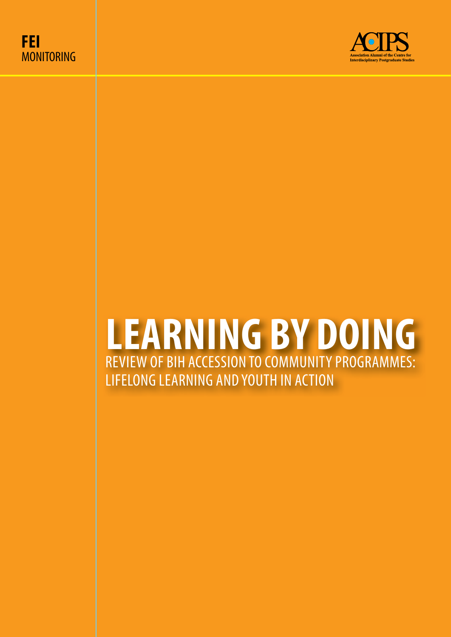



# **LEARNING BY DOING** REVIEW OF BIH ACCESSION TO COMMUNITY PROGRAMMES: LIFELONG LEARNING AND YOUTH IN ACTION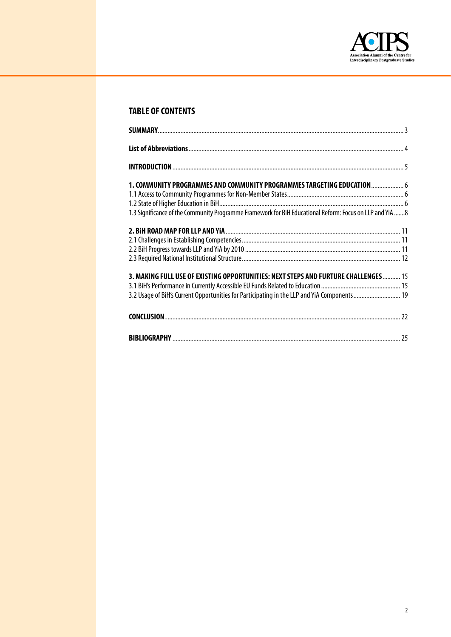

# **TABLE OF CONTENTS**

| 1. COMMUNITY PROGRAMMES AND COMMUNITY PROGRAMMES TARGETING EDUCATION 6                                   |  |
|----------------------------------------------------------------------------------------------------------|--|
|                                                                                                          |  |
|                                                                                                          |  |
| 1.3 Significance of the Community Programme Framework for BiH Educational Reform: Focus on LLP and YiA 8 |  |
|                                                                                                          |  |
|                                                                                                          |  |
|                                                                                                          |  |
|                                                                                                          |  |
| 3. MAKING FULL USE OF EXISTING OPPORTUNITIES: NEXT STEPS AND FURTURE CHALLENGES 15                       |  |
|                                                                                                          |  |
| 3.2 Usage of BiH's Current Opportunities for Participating in the LLP and YiA Components 19              |  |
|                                                                                                          |  |
|                                                                                                          |  |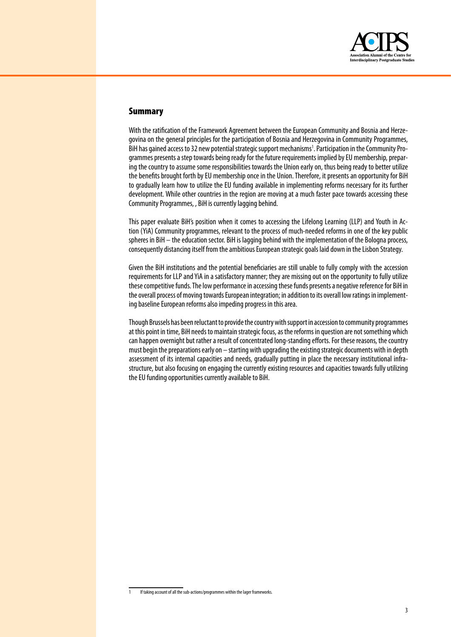

# **Summary**

With the ratification of the Framework Agreement between the European Community and Bosnia and Herzegovina on the general principles for the participation of Bosnia and Herzegovina in Community Programmes. BiH has gained access to 32 new potential strategic support mechanisms<sup>1</sup>. Participation in the Community Programmes presents a step towards being ready for the future requirements implied by EU membership, preparing the country to assume some responsibilities towards the Union early on, thus being ready to better utilize the benefits brought forth by EU membership once in the Union. Therefore, it presents an opportunity for BiH to gradually learn how to utilize the EU funding available in implementing reforms necessary for its further development. While other countries in the region are moving at a much faster pace towards accessing these Community Programmes, , BiH is currently lagging behind.

This paper evaluate BiH's position when it comes to accessing the Lifelong Learning (LLP) and Youth in Action (YiA) Community programmes, relevant to the process of much-needed reforms in one of the key public spheres in  $BiH -$  the education sector. BiH is lagging behind with the implementation of the Bologna process, consequently distancing itself from the ambitious European strategic goals laid down in the Lisbon Strategy.

Given the BiH institutions and the potential beneficiaries are still unable to fully comply with the accession requirements for LLP and YiA in a satisfactory manner; they are missing out on the opportunity to fully utilize these competitive funds. The low performance in accessing these funds presents a negative reference for BiH in the overall process of moving towards European integration; in addition to its overall low ratings in implementing baseline European reforms also impeding progress in this area.

Though Brussels has been reluctant to provide the country with support in accession to community programmes at this point in time. BiH needs to maintain strategic focus, as the reforms in question are not something which can happen overnight but rather a result of concentrated long-standing efforts. For these reasons, the country must begin the preparations early on - starting with upgrading the existing strategic documents with in depth assessment of its internal capacities and needs, gradually putting in place the necessary institutional infrastructure, but also focusing on engaging the currently existing resources and capacities towards fully utilizing the EU funding opportunities currently available to BiH.

If taking account of all the sub-actions/programmes within the lager frameworks.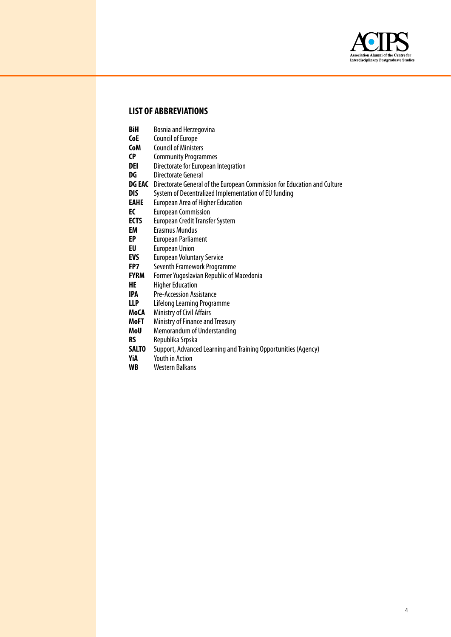

# **LIST OF ABBREVIATIONS**

- **BiH** Bosnia and Herzegovina<br>**CoE** Council of Europe
- **CoE** Council of Europe<br>**CoM** Council of Minister
- **CoM** Council of Ministers<br>**CP** Community Program
- **CP** Community Programmes<br>**DEI** Directorate for Furopean I
- **Directorate for European Integration**
- **DG** Directorate General
- **DG EAC** Directorate General of the European Commission for Education and Culture
- **DIS** System of Decentralized Implementation of EU funding<br> **EAHE** European Area of Higher Education
- **EAHE** European Area of Higher Education<br>**EC** European Commission
- **EC** European Commission<br>**ECTS** European Credit Transfe
- **ECTS** European Credit Transfer System<br>**EM** Frasmus Mundus
- **EM** Erasmus Mundus<br> **EP** European Parliam
- **European Parliament**
- **EU** European Union
- **EVS** European Voluntary Service<br> **FP7** Seventh Framework Prograr
- **FP7** Seventh Framework Programme<br>**FYRM** Former Yugoslavian Republic of N
- **FYRM** Former Yugoslavian Republic of Macedonia<br>**HE** Higher Education
- **HE** Higher Education<br> **IPA** Pre-Accession Ass
- **Pre-Accession Assistance**
- **LLP** Lifelong Learning Programme
- **MoCA** Ministry of Civil Affairs
- **MoFT** Ministry of Finance and Treasury
- **MoU** Memorandum of Understanding
- **RS** Republika Srpska<br>**SALTO** Support, Advance
- **SALTO** Support, Advanced Learning and Training Opportunities (Agency)<br>**YiA** Youth in Action
- **Youth in Action**
- **WB** Western Balkans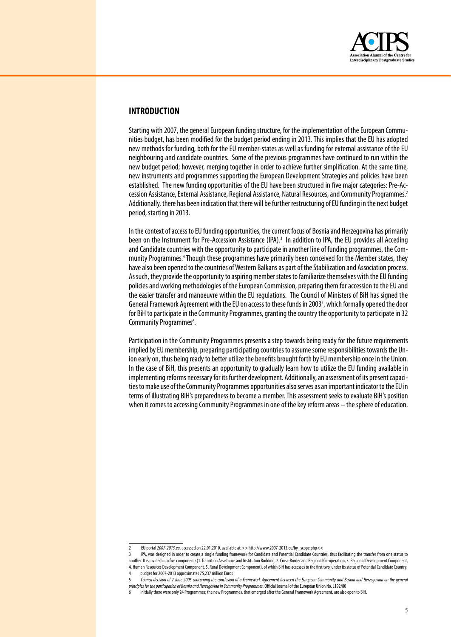

# **INTRODUCTION**

Starting with 2007, the general European funding structure, for the implementation of the European Communities budget, has been modified for the budget period ending in 2013. This implies that the EU has adopted new methods for funding, both for the EU member-states as well as funding for external assistance of the EU neighbouring and candidate countries. Some of the previous programmes have continued to run within the new budget period; however, merging together in order to achieve further simplification. At the same time, new instruments and programmes supporting the European Development Strategies and policies have been established. The new funding opportunities of the EU have been structured in five major categories: Pre-Accession Assistance, External Assistance, Regional Assistance, Natural Resources, and Community Programmes.<sup>2</sup> Additionally, there has been indication that there will be further restructuring of EU funding in the next budget period, starting in 2013.

In the context of access to EU funding opportunities, the current focus of Bosnia and Herzegovina has primarily been on the Instrument for Pre-Accession Assistance (IPA).<sup>3</sup> In addition to IPA, the EU provides all Acceding and Candidate countries with the opportunity to participate in another line of funding programmes, the Community Programmes.<sup>4</sup> Though these programmes have primarily been conceived for the Member states, they have also been opened to the countries of Western Balkans as part of the Stabilization and Association process. As such, they provide the opportunity to aspiring member states to familiarize themselves with the EU funding policies and working methodologies of the European Commission, preparing them for accession to the EU and the easier transfer and manoeuvre within the EU regulations. The Council of Ministers of BiH has signed the General Framework Agreement with the EU on access to these funds in 2003<sup>5</sup>, which formally opened the door for BiH to participate in the Community Programmes, granting the country the opportunity to participate in 32 Community Programmes<sup>6</sup>. .

Participation in the Community Programmes presents a step towards being ready for the future requirements implied by EU membership, preparing participating countries to assume some responsibilities towards the Union early on, thus being ready to better utilize the benefits brought forth by EU membership once in the Union. In the case of BiH, this presents an opportunity to gradually learn how to utilize the EU funding available in implementing reforms necessary for its further development. Additionally, an assessment of its present capacities to make use of the Community Programmes opportunities also serves as an important indicator to the EU in terms of illustrating BiH's preparedness to become a member. This assessment seeks to evaluate BiH's position when it comes to accessing Community Programmes in one of the key reform areas – the sphere of education.

EU portal 2007-2013.eu, accessed on 22.01.2010. available at:>> http://www.2007-2013.eu/by\_scope.php<<

IPA, was designed in order to create a single funding framework for Candidate and Potential Candidate Countries, thus facilitating the transfer from one status to another. It is divided into five components (1. Transition Assistance and Institution Building, 2. Cross-Border and Regional Co-operation, 3. Regional Development Component, 4. Human Resources Development Component, 5. Rural Development Component), of which BiH has accesses to the first two, under its status of Potential Candidate Country. budget for 2007-2013 approximates 75,237 million Euros

<sup>5</sup> *Council decision of 2 June 2005 concerning the conclusion of a Framework Agreement between the European Community and Bosnia and Herzegovina on the general*  principles for the participation of Bosnia and Herzegovina in Community Programmes. Official Journal of the European Union No. L192/80

Initially there were only 24 Programmes; the new Programmes, that emerged after the General Framework Agreement, are also open to BiH.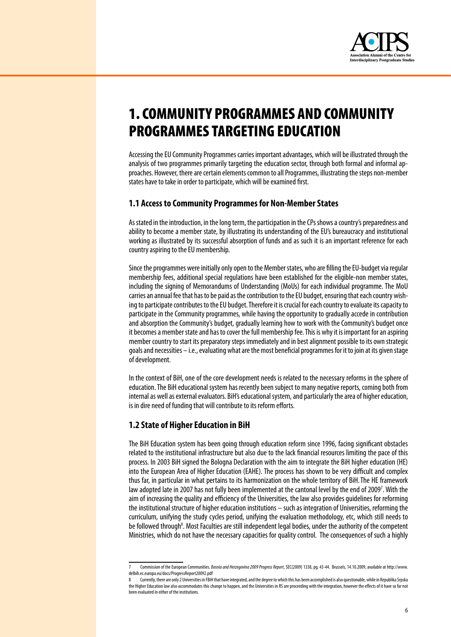

# **1. COMMUNITY PROGRAMMES AND COMMUNITY PROGRAMMES TARGETING EDUCATION**

Accessing the EU Community Programmes carries important advantages, which will be illustrated through the analysis of two programmes primarily targeting the education sector, through both formal and informal approaches. However, there are certain elements common to all Programmes, illustrating the steps non-member states have to take in order to participate, which will be examined first.

# 1.1 Access to Community Programmes for Non-Member States

As stated in the introduction, in the long term, the participation in the CPs shows a country's preparedness and ability to become a member state, by illustrating its understanding of the EU's bureaucracy and institutional working as illustrated by its successful absorption of funds and as such it is an important reference for each country aspiring to the EU membership.

Since the programmes were initially only open to the Member states, who are filling the EU-budget via regular membership fees, additional special regulations have been established for the eligible-non member states, including the signing of Memorandums of Understanding (MoUs) for each individual programme. The MoU carries an annual fee that has to be paid as the contribution to the EU budget, ensuring that each country wishing to participate contributes to the EU budget. Therefore it is crucial for each country to evaluate its capacity to participate in the Community programmes, while having the opportunity to gradually accede in contribution and absorption the Community's budget, gradually learning how to work with the Community's budget once it becomes a member state and has to cover the full membership fee. This is why it is important for an aspiring member country to start its preparatory steps immediately and in best alignment possible to its own strategic goals and necessities - i.e., evaluating what are the most beneficial programmes for it to join at its given stage of development.

In the context of BiH, one of the core development needs is related to the necessary reforms in the sphere of education. The BiH educational system has recently been subject to many negative reports, coming both from internal as well as external evaluators. BiH's educational system, and particularly the area of higher education, is in dire need of funding that will contribute to its reform efforts.

# 1.2 State of Higher Education in BiH

The BiH Education system has been going through education reform since 1996, facing significant obstacles related to the institutional infrastructure but also due to the lack financial resources limiting the pace of this process. In 2003 BiH signed the Bologna Declaration with the aim to integrate the BiH higher education (HE) into the European Area of Higher Education (EAHE). The process has shown to be very difficult and complex thus far, in particular in what pertains to its harmonization on the whole territory of BiH. The HE framework law adopted late in 2007 has not fully been implemented at the cantonal level by the end of 2009<sup>7</sup>. With the aim of increasing the quality and efficiency of the Universities, the law also provides quidelines for reforming the institutional structure of higher education institutions - such as integration of Universities, reforming the curriculum, unifying the study cycles period, unifying the evaluation methodology, etc, which still needs to be followed through<sup>8</sup>. Most Faculties are still independent legal bodies, under the authority of the competent Ministries, which do not have the necessary capacities for quality control. The consequences of such a highly

Commission of the European Communities. Bosnia and Herzegovina 2009 Progress Report, SEC(2009) 1338, pg. 43-44. Brussels, 14.10.2009, available at http://www. delbih.ec.europa.eu/docs/ProgressReport20092.pdf

Currently, there are only 2 Universities in FBiH that have integrated, and the degree to which this has been accomplished is also questionable, while in Republika Srpska the Higher Education law also accommodates this change to happen, and the Universities in RS are proceeding with the integration, however the effects of it have so far not been evaluated in either of the institutions.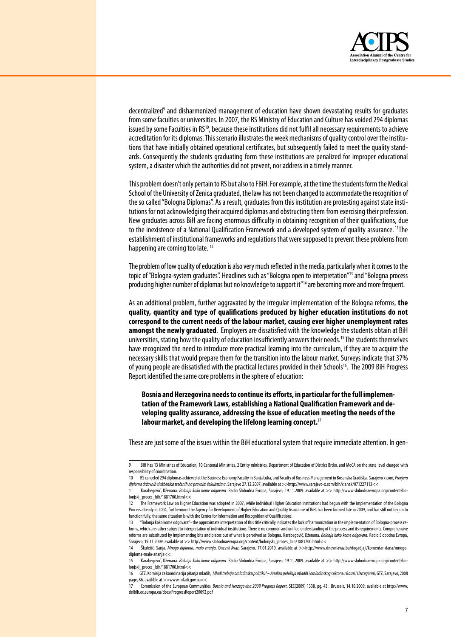

decentralized<sup>9</sup> and disharmonized management of education have shown devastating results for graduates from some faculties or universities. In 2007, the RS Ministry of Education and Culture has voided 294 diplomas issued by some Faculties in RS<sup>10</sup>, because these institutions did not fulfil all necessary requirements to achieve accreditation for its diplomas. This scenario illustrates the week mechanisms of quality control over the institutions that have initially obtained operational certificates, but subsequently failed to meet the quality standards. Consequently the students graduating form these institutions are penalized for improper educational system, a disaster which the authorities did not prevent, nor address in a timely manner.

This problem doesn't only pertain to RS but also to FBiH. For example, at the time the students form the Medical School of the University of Zenica graduated, the law has not been changed to accommodate the recognition of the so called "Bologna Diplomas". As a result, graduates from this institution are protesting against state institutions for not acknowledging their acquired diplomas and obstructing them from exercising their profession. New graduates across BiH are facing enormous difficulty in obtaining recognition of their qualifications, due to the inexistence of a National Qualification Framework and a developed system of quality assurance. <sup>11</sup>The establishment of institutional frameworks and regulations that were supposed to prevent these problems from happening are coming too late.<sup>12</sup>

The problem of low quality of education is also very much reflected in the media, particularly when it comes to the topic of "Bologna-system graduates". Headlines such as "Bologna open to interpretation"<sup>13</sup> and "Bologna process" producing higher number of diplomas but no knowledge to support it"<sup>14</sup> are becoming more and more frequent.

As an additional problem, further aggravated by the irregular implementation of the Bologna reforms, the quality, quantity and type of qualifications produced by higher education institutions do not correspond to the current needs of the labour market, causing ever higher unemployment rates amongst the newly graduated. Employers are dissatisfied with the knowledge the students obtain at BiH universities, stating how the quality of education insufficiently answers their needs.<sup>15</sup> The students themselves have recognized the need to introduce more practical learning into the curriculum, if they are to acquire the necessary skills that would prepare them for the transition into the labour market. Surveys indicate that 37% of young people are dissatisfied with the practical lectures provided in their Schools<sup>16</sup>. The 2009 BiH Progress Report identified the same core problems in the sphere of education:

Bosnia and Herzegovina needs to continue its efforts, in particular for the full implementation of the Framework Laws, establishing a National Qualification Framework and developing quality assurance, addressing the issue of education meeting the needs of the labour market, and developing the lifelong learning concept. $^{17}$ 

These are just some of the issues within the BiH educational system that require immediate attention. In gen-

 $\mathbf{q}$ BiH has 13 Ministries of Education, 10 Cantonal Ministries, 2 Entity ministries, Department of Education of District Brcko, and MoCA on the state level charged with responsibility of coordination

<sup>10</sup> RS canceled 294 diplomas achieved at the Business Economy Faculty in Banja Luka, and Faculty of Business Management in Bosanska Gradiška. Sarajevo x.com, Provjera diploma državnih službenika stečenih na pravnim fakultetima, Sarajevo 27.12.2007. available at >>http://www.sarajevo-x.com/bih/clanak/071227113<<

<sup>11</sup> Karabegović, Dženana. Bolonja kako kome odgovara. Radio Slobodna Evropa, Sarajevo, 19.11.2009. available at >> http://www.slobodnaevropa.org/content/boloniski proces bih/1881700 html<<

<sup>12</sup> The Framework Law on Higher Education was adopted in 2007, while individual Higher Education institutions had begun with the implementation of the Bologna Process already in 2004, furthermore the Agency for Development of Higher Education and Quality Assurance of BiH, has been formed late in 2009, and has still not begun to function fully, the same situation is with the Center for Information and Recognition of Qualifications.

<sup>&</sup>quot;Bolonja kako kome odgovara" - the approximate interpretation of this title critically indicates the lack of harmonization in the implementation of Bologna-process reforms, which are rather subject to interpretation of individual institutions. There is no common and unified understanding of the process and its requirements. Comprehensive reforms are substituted by implementing bits and pieces out of what is perceived as Bologna. Karabegović, Dženana. Bolonja kako kome odgovara. Radio Slobodna Evropa, Sarajevo, 19.11.2009. available at >> http://www.slobodnaevropa.org/content/bolonjski\_proces\_bih/1881700.html<<

Škuletić, Sanja. Mnogo diploma, malo znanja. Dnevni Avaz, Sarajevo, 17.01.2010. available at >>http://www.dnevniavaz.ba/dogadjaji/komentar-dana/mnogo diploma-malo-znania<<

Karabegović. Dženana. Bolonia kako kome odgovara. Radio Slobodna Evropa. Sarajevo. 19.11.2009. available at >> http://www.slobodnaevropa.org/content/bo  $15$ lonjski\_proces\_bih/1881700.html<<

<sup>16</sup> GTZ, Komisija za koordinaciju pitanja mladih, Mladi trebaju omladinsku politiku! - Analiza položaja mladih i omladinskog sektora u Bosni i Hercegorini, GTZ, Sarajevo, 2008 page, 86. availible at >>www.mladi.gov.ba<<

Commission of the European Communities. Bosnia and Herzegovina 2009 Progress Report, SEC(2009) 1338, pg. 43. Brussels, 14.10.2009, available at http://www. delbih.ec.europa.eu/docs/ProgressReport20092.pdf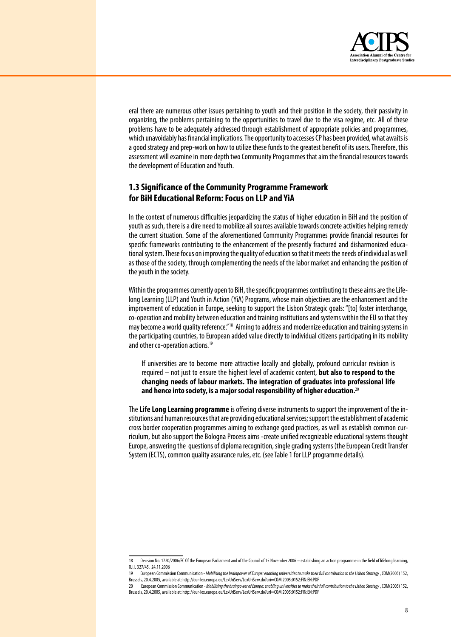

eral there are numerous other issues pertaining to youth and their position in the society, their passivity in organizing, the problems pertaining to the opportunities to travel due to the visa regime, etc. All of these problems have to be adequately addressed through establishment of appropriate policies and programmes. which unavoidably has financial implications. The opportunity to accesses CP has been provided, what awaits is a good strategy and prep-work on how to utilize these funds to the greatest benefit of its users. Therefore, this assessment will examine in more depth two Community Programmes that aim the financial resources towards the development of Education and Youth.

# 1.3 Significance of the Community Programme Framework for BiH Educational Reform: Focus on LLP and YiA

In the context of numerous difficulties jeopardizing the status of higher education in BiH and the position of youth as such, there is a dire need to mobilize all sources available towards concrete activities helping remedy the current situation. Some of the aforementioned Community Programmes provide financial resources for specific frameworks contributing to the enhancement of the presently fractured and disharmonized educational system. These focus on improving the quality of education so that it meets the needs of individual as well as those of the society, through complementing the needs of the labor market and enhancing the position of the youth in the society.

Within the programmes currently open to BiH, the specific programmes contributing to these aims are the Lifelong Learning (LLP) and Youth in Action (YiA) Programs, whose main objectives are the enhancement and the improvement of education in Europe, seeking to support the Lisbon Strategic goals: "[to] foster interchange, co-operation and mobility between education and training institutions and systems within the EU so that they may become a world quality reference."<sup>18</sup> Aiming to address and modernize education and training systems in the participating countries, to European added value directly to individual citizens participating in its mobility and other co-operation actions.<sup>19</sup>

If universities are to become more attractive locally and globally, profound curricular revision is required – not just to ensure the highest level of academic content, but also to respond to the changing needs of labour markets. The integration of graduates into professional life and hence into society, is a major social responsibility of higher education.<sup>20</sup>

The Life Long Learning programme is offering diverse instruments to support the improvement of the institutions and human resources that are providing educational services: support the establishment of academic cross border cooperation programmes aiming to exchange good practices, as well as establish common curriculum, but also support the Bologna Process aims -create unified recognizable educational systems thought Europe, answering the questions of diploma recognition, single grading systems (the European Credit Transfer System (ECTS), common quality assurance rules, etc. (see Table 1 for LLP programme details).

<sup>18</sup> Decision No. 1720/2006/EC Of the European Parliament and of the Council of 15 November 2006 – establishing an action programme in the field of lifelong learning. 0J. L 327/45, 24.11.2006

<sup>19</sup> European Commission Communication - Mobilising the brainpower of Europe: enabling universities to make their full contribution to the Lisbon Strategy, COM(2005) 152, Brussels, 20.4.2005, available at: http://eur-lex.europa.eu/LexUriServ/LexUriServ.do?uri=COM:2005:0152:FIN:EN:PDF

<sup>20</sup> European Commission Communication - Mobilising the brainpower of Europe: enabling universities to make their full contribution to the Lisbon Strategy , COM(2005) 152, Brussels, 20.4.2005, available at: http://eur-lex.europa.eu/LexUriServ/LexUriServ.do?uri=COM:2005:0152:FIN:EN:PDF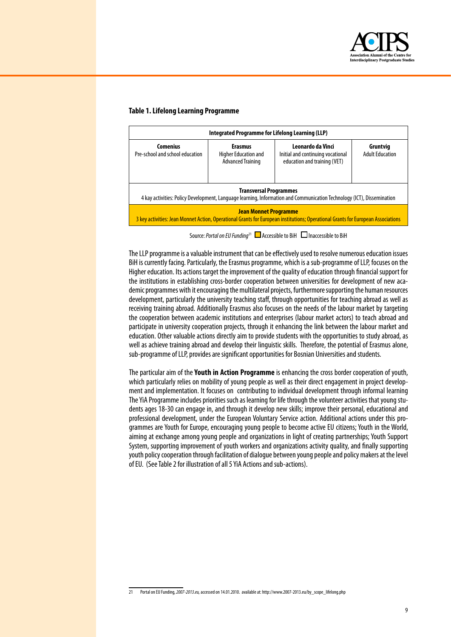

#### **Table 1. Lifelong Learning Programme**

| Integrated Programme for Lifelong Learning (LLP)                                                                                                                 |                                                                    |                                                                                        |                                    |  |  |
|------------------------------------------------------------------------------------------------------------------------------------------------------------------|--------------------------------------------------------------------|----------------------------------------------------------------------------------------|------------------------------------|--|--|
| <b>Comenius</b><br>Pre-school and school education                                                                                                               | <b>Erasmus</b><br>Higher Education and<br><b>Advanced Training</b> | Leonardo da Vinci<br>Initial and continuing vocational<br>education and training (VET) | Gruntvia<br><b>Adult Education</b> |  |  |
| <b>Transversal Programmes</b><br>4 kay activities: Policy Development, Language learning, Information and Communication Technology (ICT), Dissemination          |                                                                    |                                                                                        |                                    |  |  |
| <b>Jean Monnet Programme</b><br>3 key activities: Jean Monnet Action, Operational Grants for European institutions; Operational Grants for European Associations |                                                                    |                                                                                        |                                    |  |  |

Source: *Portal on EU Funding*<sup>21</sup> ■ Accessible to BiH ■ Inaccessible to BiH

The LLP programme is a valuable instrument that can be effectively used to resolve numerous education issues BiH is currently facing. Particularly, the Erasmus programme, which is a sub-programme of LLP, focuses on the Higher education. Its actions target the improvement of the quality of education through financial support for the institutions in establishing cross-border cooperation between universities for development of new academic programmes with it encouraging the multilateral projects, furthermore supporting the human resources development, particularly the university teaching staff, through opportunities for teaching abroad as well as receiving training abroad. Additionally Erasmus also focuses on the needs of the labour market by targeting the cooperation between academic institutions and enterprises (labour market actors) to teach abroad and participate in university cooperation projects, through it enhancing the link between the labour market and education. Other valuable actions directly aim to provide students with the opportunities to study abroad, as well as achieve training abroad and develop their linguistic skills. Therefore, the potential of Erasmus alone, sub-programme of LLP, provides are significant opportunities for Bosnian Universities and students.

The particular aim of the Youth in Action Programme is enhancing the cross border cooperation of youth, which particularly relies on mobility of young people as well as their direct engagement in project development and implementation. It focuses on contributing to individual development through informal learning The YiA Programme includes priorities such as learning for life through the volunteer activities that young students ages 18-30 can engage in, and through it develop new skills; improve their personal, educational and professional development, under the European Voluntary Service action. Additional actions under this programmes are Youth for Europe, encouraging young people to become active EU citizens; Youth in the World, aiming at exchange among young people and organizations in light of creating partnerships; Youth Support System, supporting improvement of youth workers and organizations activity quality, and finally supporting youth policy cooperation through facilitation of dialogue between young people and policy makers at the level of EU. (See Table 2 for illustration of all 5 YiA Actions and sub-actions).

<sup>21</sup> Portalon EU Funding,*2007-2013.eu,* accessedon 14.01.2010. availableat: http://www.2007-2013.eu/by\_scope\_lifelong.php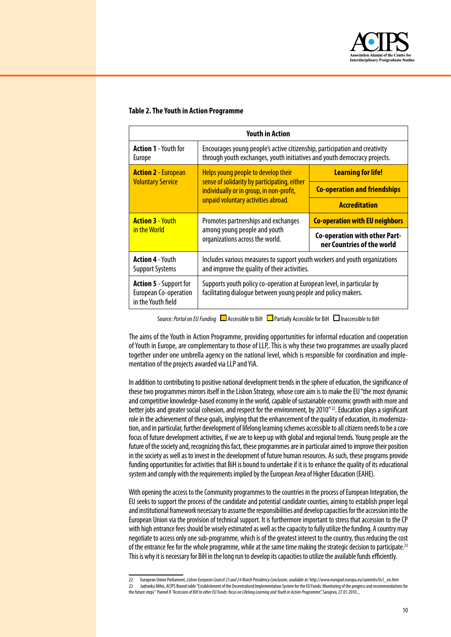

#### **Table 2. The Youth in Action Programme**

| <b>Youth in Action</b>                                                       |                                                                                                                                                        |                                                             |  |  |
|------------------------------------------------------------------------------|--------------------------------------------------------------------------------------------------------------------------------------------------------|-------------------------------------------------------------|--|--|
| <b>Action 1</b> - Youth for<br><b>Europe</b>                                 | Encourages young people's active citizenship, participation and creativity<br>through youth exchanges, youth initiatives and youth democracy projects. |                                                             |  |  |
| <b>Action 2 - European</b>                                                   | Helps young people to develop their                                                                                                                    | <b>Learning for life!</b>                                   |  |  |
| <b>Voluntary Service</b>                                                     | sense of solidarity by participating, either<br>individually or in group, in non-profit,                                                               | <b>Co-operation and friendships</b>                         |  |  |
|                                                                              | unpaid voluntary activities abroad.                                                                                                                    | <b>Accreditation</b>                                        |  |  |
| <b>Action 3 - Youth</b>                                                      | Promotes partnerships and exchanges                                                                                                                    | <b>Co-operation with EU neighbors</b>                       |  |  |
| in the World                                                                 | among young people and youth<br>organizations across the world.                                                                                        | Co-operation with other Part-<br>ner Countries of the world |  |  |
| <b>Action 4 - Youth</b><br><b>Support Systems</b>                            | Includes various measures to support youth workers and youth organizations<br>and improve the quality of their activities.                             |                                                             |  |  |
| <b>Action 5</b> - Support for<br>European Co-operation<br>in the Youth field | Supports youth policy co-operation at European level, in particular by<br>facilitating dialogue between young people and policy makers.                |                                                             |  |  |

Source: *Portal on EU Funding* **Accessible to BiH** Partially Accessible for BiH **Inaccessible to BiH** 

The aims of the Youth in Action Programme, providing opportunities for informal education and cooperation of Youth in Europe, are complementary to those of LLP. This is why these two programmes are usually placed together under one umbrella agency on the national level, which is responsible for coordination and implementation of the projects awarded via LLP and YiA.

In addition to contributing to positive national development trends in the sphere of education, the significance of these two programmes mirrors itself in the Lisbon Strategy, whose core aim is to make the EU "the most dynamic and competitive knowledge-based economy in the world, capable of sustainable economic growth with more and better jobs and greater social cohesion, and respect for the environment, by 2010"<sup>22</sup>. Education plays a significant role in the achievement of these goals, implying that the enhancement of the quality of education, its modernization, and in particular, further development of lifelong learning schemes accessible to all citizens needs to be a core focus of future development activities, if we are to keep up with global and regional trends. Young people are the future of the society and, recognizing this fact, these programmes are in particular aimed to improve their position in the society as well as to invest in the development of future human resources. As such, these programs provide funding opportunities for activities that BiH is bound to undertake if it is to enhance the quality of its educational system and comply with the requirements implied by the European Area of Higher Education (EAHE).

With opening the access to the Community programmes to the countries in the process of European Integration, the EU seeks to support the process of the candidate and potential candidate counties, aiming to establish proper legal and institutional framework necessary to assume the responsibilities and develop capacities for the accession into the European Union viatheprovision of technical support. It is furthermoreimportant tostress thataccession totheCP with high entrance fees should be wisely estimated as well as the capacity to fully utilize the funding. A country may negotiate to access only one sub-programme, which is of the greatest interest to the country, thus reducing the cost of the entrance fee for the whole programme, while at the same time making the strategic decision to participate.<sup>23</sup> This is why it is necessary for BiH in the long run to develop its capacities to utilize the available funds efficiently.

<sup>22</sup> European Union Parliament, Lisbon European Council 23 and 24 March Presidency Conclusion, available at: http://www.europarl.europa.eu/summits/lis1\_en.htm 23 Jadranka Mihic, ACIPS Round table "Establishment of the Decentralized Implementation System for the EU Funds: Monitoring of the progress and recommendations for thefuturesteps" Pannel II *"Accession of BiH to other EU Funds: focus on Lifelong Learning and Youth in Action Programme",* Sarajevo,27.01.2010..,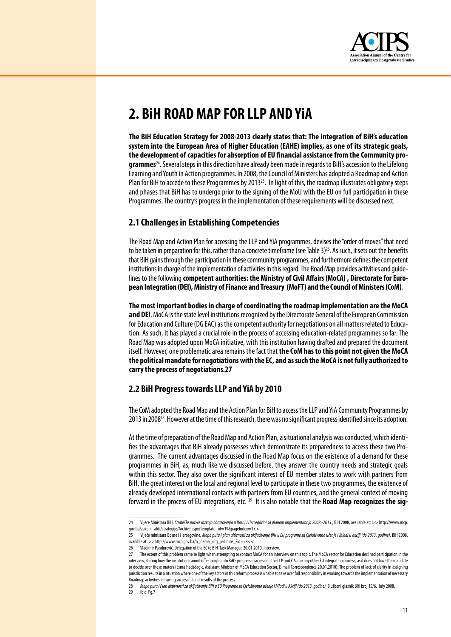

# 2. BIH ROAD MAP FOR LLP AND YIA

The BiH Education Strategy for 2008-2013 clearly states that: The integration of BiH's education system into the European Area of Higher Education (EAHE) implies, as one of its strategic goals, the development of capacities for absorption of EU financial assistance from the Community programmes<sup>24</sup>. Several steps in this direction have already been made in regards to BiH's accession to the Lifelong Learning and Youth in Action programmes. In 2008, the Council of Ministers has adopted a Roadmap and Action Plan for BiH to accede to these Programmes by 2013<sup>25</sup>. In light of this, the roadmap illustrates obligatory steps and phases that BiH has to undergo prior to the signing of the MoU with the EU on full participation in these Programmes. The country's progress in the implementation of these requirements will be discussed next.

# 2.1 Challenges in Establishing Competencies

The Road Map and Action Plan for accessing the LLP and YiA programmes, devises the "order of moves" that need to be taken in preparation for this, rather than a concrete timeframe (see Table 3)<sup>26</sup>. As such, it sets out the benefits that BiH gains through the participation in these community programmes, and furthermore defines the competent institutions in charge of the implementation of activities in this regard. The Road Map provides activities and quidelines to the following competent authorities: the Ministry of Civil Affairs (MoCA), Directorate for European Integration (DEI), Ministry of Finance and Treasury (MoFT) and the Council of Ministers (CoM).

The most important bodies in charge of coordinating the roadmap implementation are the MoCA and DEI. MoCA is the state level institutions recognized by the Directorate General of the European Commission for Education and Culture (DG EAC) as the competent authority for negotiations on all matters related to Education. As such, it has played a crucial role in the process of accessing education-related programmes so far. The Road Map was adopted upon MoCA initiative, with this institution having drafted and prepared the document itself. However, one problematic area remains the fact that the CoM has to this point not given the MoCA the political mandate for negotiations with the EC, and as such the MoCA is not fully authorized to carry the process of negotiations.27

# 2.2 BiH Progress towards LLP and YiA by 2010

The CoM adopted the Road Map and the Action Plan for BiH to access the LLP and YiA Community Programmes by 2013 in 2008<sup>28</sup>. However at the time of this research, there was no significant progress identified since its adoption.

At the time of preparation of the Road Map and Action Plan, a situational analysis was conducted, which identifies the advantages that BiH already possesses which demonstrate its preparedness to access these two Programmes. The current advantages discussed in the Road Map focus on the existence of a demand for these programmes in BiH, as, much like we discussed before, they answer the country needs and strategic goals within this sector. They also cover the significant interest of EU member states to work with partners from BiH, the great interest on the local and regional level to participate in these two programmes, the existence of already developed international contacts with partners from EU countries, and the general context of moving forward in the process of EU integrations, etc. <sup>29</sup> It is also notable that the **Road Map recognizes the sig-**

 $24$ Vijece Ministara BiH, Strateške pravce razvoja obrazovanja u Bosni I Hercegovini sa planom implementiranja 2008.-2015., BiH 2008, available at: >> http://www.mcp. qov.ba/zakoni\_akti/strategije/Archive.aspx?template\_id=19&pageIndex=1<<

<sup>25</sup> Vijeće ministara Bosne i Hercegovine, Mapa puta I plan altivnosti za uključivanje BiH u EU programe za Cjeloživotno učenje I Mladi u akciji (do 2013. godine), BiH 2008. availible at: >>http://www.mcp.gov.ba/o\_nama\_org\_jedinice\_?id=28<<

Vladimir Pandurević, Delegation of the EC to BiH Task Manager, 20.01.2010. Interview. 26

 $27$ The extent of this problem came to light when attempting to contact MoCA for an interview on this topic. The MoCA sector for Education declined participation in the interview, stating how the institution cannot offer insight into BiH's progress in accessing the LLP and YiA, nor any other EU integration process, as it does not have the mandate to decide over these maters (Esma Hadzdagic, Assistant Minister of MoCA Education Sector, E-mail Correspondence 20.01.2010). The problem of lack of clarity in assigning jurisdiction results in a situation where one of the key actors in this reform process is unable to take over full responsibility in working towards the implementation of necessary Roadmap activities, ensuring successful end-results of the process.

<sup>28</sup> Mapa puta i Plan aktivnosti za uključivanje BiH u EU Programe za Cjeloživotno učenje i Mladi u Akciji (do 2013. godine). Službeni glasnik BiH broj 15/6. July 2008.  $29$ Ibid Pq.7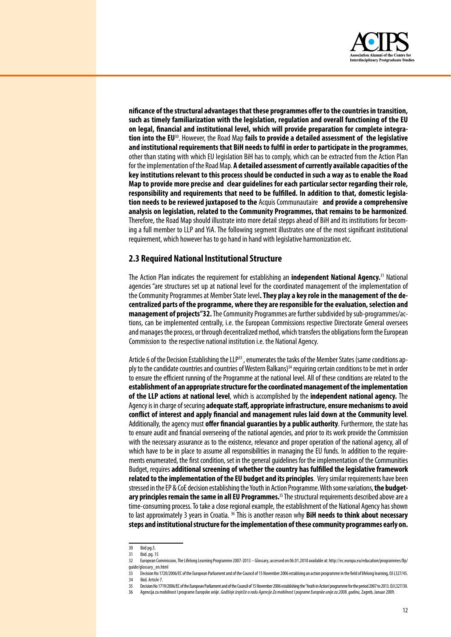

**nificance of the structural advantages that these programmes offer to the countries in transition, such as timely familiarization with the legislation, regulation and overall functioning of the EU on legal, financial and institutional level, which will provide preparation for complete integration into the EU**30. However, the Road Map **fails to provide a detailed assessment of the legislative and institutional requirements that BiH needs to fulfil in order to participate in the programmes**, other than stating with which EU legislation BiH has to comply, which can be extracted from the Action Plan for the implementation of the Road Map. **A detailed assessment of currently available capacities of the key institutions relevant to this process should be conducted in such a way as to enable the Road Map to provide more precise and clear guidelines for each particular sector regarding their role, responsibility and requirements that need to be fulfilled. In addition to that, domestic legislation needs to be reviewed juxtaposed to the** Acquis Communautaire **and provide a comprehensive analysis on legislation, related to the Community Programmes, that remains to be harmonized**. Therefore, the Road Map should illustrate into more detail stepps ahead of BiH and its institutions for becoming a full member to LLP and YiA. The following segment illustrates one of the most significant institutional requirement, which however has to go hand in hand with legislative harmonization etc.

### **2.3 Required National Institutional Structure**

The Action Plan indicates the requirement for establishing an **independent National Agency.**<sup>31</sup> National agencies "are structures set up at national level for the coordinated management of the implementation of the Community Programmes at Member State level. **They play a key role in the management of the decentralized parts of the programme, where they are responsible for the evaluation, selection and management of projects"32.** The Community Programmes are further subdivided by sub-programmes/actions, can be implemented centrally, i.e. the European Commissions respective Directorate General oversees and manages the process, or through decentralized method, which transfers the obligations form the European Commission to therespective national institution i.e. the National Agency.

Article 6 of the Decision Establishing the LLP33, enumerates the tasks of the Member States (same conditions apply to the candidate countries and countries of Western Balkans)<sup>34</sup> requiring certain conditions to be met in order to ensure the efficient running of the Programme at the national level. All of these conditions are related to the **establishment of an appropriate structure for the coordinated management of the implementation of the LLP actions at national level**, which is accomplished by the **independent national agency.** The Agencyisin chargeofsecuring **adequate staff, appropriate infrastructure, ensure mechanisms to avoid conflict of interest and apply financial and management rules laid down at the Community level**. Additionally, the agency must **offer financial guaranties by a public authority**. Furthermore, the state has to ensure audit and financial overseeing of the national agencies, and prior to its work provide the Commission with the necessary assurance as to the existence, relevance and proper operation of the national agency, all of which have to be in place to assume all responsibilities in managing the EU funds. In addition to the requirements enumerated, the first condition, set in the general guidelines for the implementation of the Communities Budget, requires **additional screening of whether the country has fulfilled the legislative framework related to the implementation of the EU budget and its principles**. Verysimilar requirements havebeen stressed in the EP & CoE decision establishing the Youth in Action Programme. With some variations, **the budgetary principles remain the same in all EU Programmes.**<sup>35</sup> The structural requirements described above are a time-consuming process. To take a close regional example, the establishment of the National Agency has shown to last approximately 3 years in Croatia. <sup>36</sup> This is another reason why **BiH needs to think about necessary steps and institutional structure for the implementation of these community programmes early on.**

<sup>30</sup> Ibidpg.5.

<sup>31</sup> Ibid. pg. 15<br>32 Furonean Co

European Commission, The Lifelong Learning Programme 2007-2013 – Glossary, accessed on 06.01.2010 available at: http://ec.europa.eu/education/programmes/llp/ guide/glossary\_en.html

<sup>33</sup> Decision No 1720/2006/EC of the European Parliament and of the Council of 15 November 2006 establsing an action programme in the field of lifelong learning, OJ L327/45. 34 Ibid. Article 7.

<sup>35</sup> Decision No 1719/2006/EC of the European Parliament and of the Council of 15 November 2006 establishing the 'Youth in Action' programme for the period 2007 to 2013. OJ L327/30.

<sup>36</sup> Agencijaza mobilnost IprogrameEuropskeunije. *Godišnje izvješče o radu Agencije Za mobilnost I pograme Europske unije za 2008. godinu,*Zagreb, Januar2009.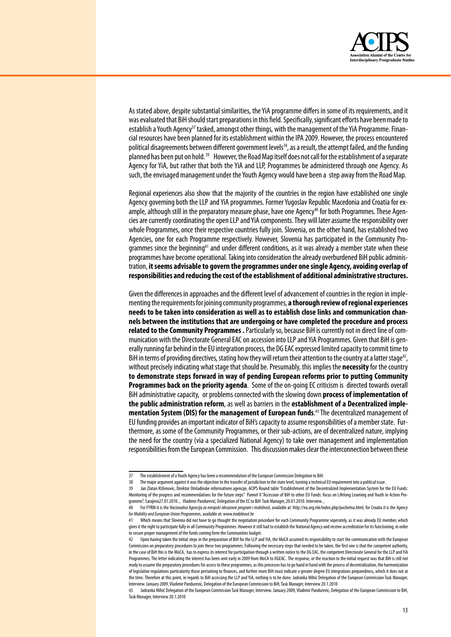

As stated above, despite substantial similarities, the YiA programme differs in some of its requirements, and it was evaluated that BiH should start preparations in this field. Specifically, significant efforts have been made to establish a Youth Agency<sup>37</sup> tasked, amongst other things, with the management of the YiA Programme. Financial resources have been planned for its establishment within the IPA 2009. However, the process encountered political disagreements between different government levels<sup>38</sup>, as a result, the attempt failed, and the funding planned has been put on hold.<sup>39</sup> However, the Road Map itself does not call for the establishment of a separate Agency for YiA, but rather that both the YiA and LLP, Programmes be administered through one Agency. As such, the envisaged management under the Youth Agency would have been a step away from the Road Map.

Regional experiences also show that the majority of the countries in the region have established one single Agency governing both the LLP and YiA programmes. Former Yugoslav Republic Macedonia and Croatia for example, although still in the preparatory measure phase, have one Agency<sup>40</sup> for both Programmes. These Agencies are currently coordinating the open LLP and YiA components. They will later assume the responsibility over whole Programmes, once their respective countries fully join. Slovenia, on the other hand, has established two Agencies, one for each Programme respectively. However, Slovenia has participated in the Community Programmes since the beginning<sup>41</sup> and under different conditions, as it was already a member state when these programmes have become operational. Taking into consideration the already overburdened BiH public administration, it seems advisable to govern the programmes under one single Agency, avoiding overlap of responsibilities and reducing the cost of the establishment of additional administrative structures.

Given the differences in approaches and the different level of advancement of countries in the region in implementing the requirements for joining community programmes, a thorough review of regional experiences needs to be taken into consideration as well as to establish close links and communication channels between the institutions that are undergoing or have completed the procedure and process related to the Community Programmes . Particularly so, because BiH is currently not in direct line of communication with the Directorate General EAC on accession into LLP and YiA Programmes. Given that BiH is generally running far behind in the EU integration process, the DG EAC expressed limited capacity to commit time to BiH in terms of providing directives, stating how they will return their attention to the country at a latter stage<sup>42</sup>, without precisely indicating what stage that should be. Presumably, this implies the necessity for the country to demonstrate steps forward in way of pending European reforms prior to putting Community **Programmes back on the priority agenda.** Some of the on-going EC criticism is directed towards overall BiH administrative capacity, or problems connected with the slowing down process of implementation of the public administration reform, as well as barriers in the establishment of a Decentralized implementation System (DIS) for the management of European funds.<sup>43</sup> The decentralized management of EU funding provides an important indicator of BiH's capacity to assume responsibilities of a member state. Furthermore, as some of the Community Programmes, or their sub-actions, are of decentralized nature, implying the need for the country (via a specialized National Agency) to take over management and implementation responsibilities from the European Commission. This discussion makes clear the interconnection between these

 $37$ The establishment of a Youth Agency has been a recommendation of the European Commission Delegation to BiH.

 $38$ The major argument against it was the objection to the transfer of jurisdiction to the state level, turning a technical EU requirement into a political issue.

<sup>39</sup> Jan Zlatan KUlenovic, Direktor Omladinske informativne agencije, ACIPS Round table "Establishment of the Decentralized Implementation System for the EU Funds: Monitoring of the progress and recommendations for the future steps" Pannel II "Accession of BiH to other EU Funds: focus on Lifelong Learning and Youth in Action Programme", Sarajevo27.01.2010.., Vladimir Pandurević, Delegation of the EC to BiH Task Manager, 20.01.2010. Interview.

For FYRM it is the Nacionalna Agencija za evropski obrazovni program i mobilnost, available at: http://na.org.mk/index.php/pochetna.html, for Croatia it is the Agency for Mobility and European Union Programmes, available at: www.mobilnost.hr

<sup>41</sup> Which means that Slovenia did not have to go thought the negotiation procedure for each Community Programme seperately, as it was already EU member, which gives it the right to participate fully in all Community Programmes. However it still had to establish the National Agency and receive accreditation for its functioning, in order to secure proper management of the funds coming form the Communities budget.

Upon having taken the initial steps in the preparation of BiH for the LLP and YiA, the MoCA assumed its responsibility to start the communication with the European Commission on preparatory procedures to join these two programmes. Following the necessary steps that needed to be taken, the first one is that the competent authority, in the case of BiH this is the MoCA, has to express its interest for participation through a written notice to the DG EAC, the competent Directorate General for the LLP and YiA Programmes. The letter indicating the interest has been sent early in 2009 from MoCA to DGEAC. The response, or the reaction to the initial request was that BiH is still not ready to assume the preparatory procedures for access to these programmes, as this processes has to go hand in hand with the process of decentralization, the harmonization of legislative regulations particularity those pertaining to finances, and further more BiH must indicate a greater degree EU integrations preparedness, which it does not at the time. Therefore at this point, in regards to BiH accessing the LLP and YiA, nothing is to be done. Jadranka Mihić Delegation of the European Commission Task Manager, Interview. January 2009, Vladimir Pandurevic, Delegation of the European Commission to BiH, Task Manager, Interview 20.1.2010

Jadranka Mihić Delegation of the European Commission Task Manager, Interview. January 2009, Vladimir Pandurevic, Delegation of the European Commission to BiH, Task Manager, Interview 20.1.2010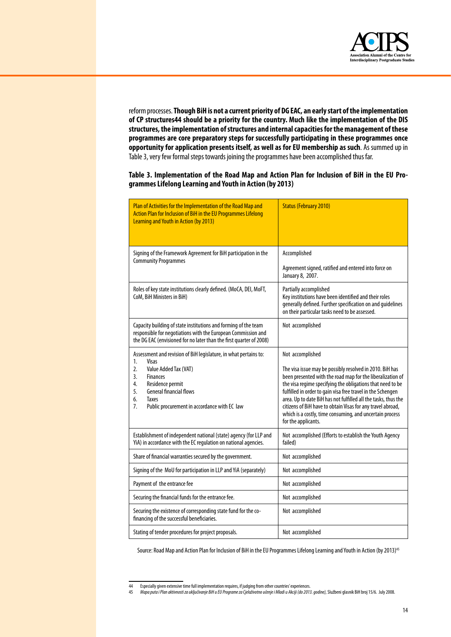

reformprocesses.**Though BiH is not a current priority of DG EAC, an early start of the implementation of CP structures44 should be a priority for the country. Much like the implementation of the DIS structures, the implementation of structures and internal capacities for the management of these programmes are core preparatory steps for successfully participating in these programmes once opportunity for application presents itself, as well as for EU membership as such**. As summed up in Table 3, very few formal steps towards joining the programmes have been accomplished thus far.

### **Table 3. Implementation of the Road Map and Action Plan for Inclusion of BiH in the EU Programmes Lifelong Learning and Youth in Action (by 2013)**

| Plan of Activities for the Implementation of the Road Map and<br>Action Plan for Inclusion of BiH in the EU Programmes Lifelong<br><b>Learning and Youth in Action (by 2013)</b>                                 | <b>Status (February 2010)</b>                                                                                                                                                                                                                                                                                                                                                                                                                                           |  |  |
|------------------------------------------------------------------------------------------------------------------------------------------------------------------------------------------------------------------|-------------------------------------------------------------------------------------------------------------------------------------------------------------------------------------------------------------------------------------------------------------------------------------------------------------------------------------------------------------------------------------------------------------------------------------------------------------------------|--|--|
| Signing of the Framework Agreement for BiH participation in the<br><b>Community Programmes</b>                                                                                                                   | Accomplished                                                                                                                                                                                                                                                                                                                                                                                                                                                            |  |  |
|                                                                                                                                                                                                                  | Agreement signed, ratified and entered into force on<br>January 8, 2007.                                                                                                                                                                                                                                                                                                                                                                                                |  |  |
| Roles of key state institutions clearly defined. (MoCA, DEI, MoFT,<br>CoM, BiH Ministers in BiH)                                                                                                                 | Partially accomplished<br>Key institutions have been identified and their roles<br>generally defined. Further specification on and guidelines<br>on their particular tasks need to be assessed.                                                                                                                                                                                                                                                                         |  |  |
| Capacity building of state institutions and forming of the team<br>responsible for negotiations with the European Commission and<br>the DG EAC (envisioned for no later than the first quarter of 2008)          | Not accomplished                                                                                                                                                                                                                                                                                                                                                                                                                                                        |  |  |
| Assessment and revision of BiH legislature, in what pertains to:<br>1.<br>Visas                                                                                                                                  | Not accomplished                                                                                                                                                                                                                                                                                                                                                                                                                                                        |  |  |
| $\overline{2}$ .<br>Value Added Tax (VAT)<br>3.<br><b>Finances</b><br>Residence permit<br>4.<br><b>General financial flows</b><br>5.<br>6.<br><b>Taxes</b><br>Public procurement in accordance with EC law<br>7. | The visa issue may be possibly resolved in 2010. BiH has<br>been presented with the road map for the liberalization of<br>the visa regime specifying the obligations that need to be<br>fulfilled in order to gain visa free travel in the Schengen<br>area. Up to date BiH has not fulfilled all the tasks, thus the<br>citizens of BiH have to obtain Visas for any travel abroad,<br>which is a costly, time consuming, and uncertain process<br>for the applicants. |  |  |
| Establishment of independent national (state) agency (for LLP and<br>YiA) in accordance with the EC regulation on national agencies.                                                                             | Not accomplished (Efforts to establish the Youth Agency<br>failed)                                                                                                                                                                                                                                                                                                                                                                                                      |  |  |
| Share of financial warranties secured by the government.                                                                                                                                                         | Not accomplished                                                                                                                                                                                                                                                                                                                                                                                                                                                        |  |  |
| Signing of the MoU for participation in LLP and YiA (separately)                                                                                                                                                 | Not accomplished                                                                                                                                                                                                                                                                                                                                                                                                                                                        |  |  |
| Payment of the entrance fee                                                                                                                                                                                      | Not accomplished                                                                                                                                                                                                                                                                                                                                                                                                                                                        |  |  |
| Securing the financial funds for the entrance fee.                                                                                                                                                               | Not accomplished                                                                                                                                                                                                                                                                                                                                                                                                                                                        |  |  |
| Securing the existence of corresponding state fund for the co-<br>financing of the successful beneficiaries.                                                                                                     | Not accomplished                                                                                                                                                                                                                                                                                                                                                                                                                                                        |  |  |
| Stating of tender procedures for project proposals.                                                                                                                                                              | Not accomplished                                                                                                                                                                                                                                                                                                                                                                                                                                                        |  |  |

Source: Road Map and Action Plan for Inclusion of BiH in the EU Programmes Lifelong Learning and Youth in Action (by 2013)<sup>45</sup>

<sup>44</sup> Especially given extensive time full implementation requires, if judging from other countries' experiences.

<sup>45</sup> *Mapa puta i Plan aktivnosti za uključivanje BiH u EU Programe za Cjeloživotno učenje i Mladi u Akciji (do 2013. godine),*Službeniglasnik BiH broj15/6. July2008.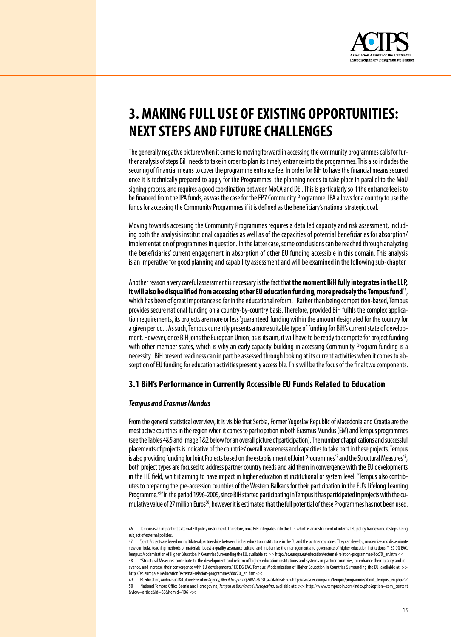

# 3. MAKING FULL USE OF EXISTING OPPORTUNITIES: **NEXT STEPS AND FUTURE CHALLENGES**

The generally negative picture when it comes to moving forward in accessing the community programmes calls for further analysis of steps BiH needs to take in order to plan its timely entrance into the programmes. This also includes the securing of financial means to cover the programme entrance fee. In order for BiH to have the financial means secured once it is technically prepared to apply for the Programmes, the planning needs to take place in parallel to the MoU signing process, and requires a good coordination between MoCA and DEI. This is particularly so if the entrance fee is to be financed from the IPA funds, as was the case for the FP7 Community Programme. IPA allows for a country to use the funds for accessing the Community Programmes if it is defined as the beneficiary's national strategic goal.

Moving towards accessing the Community Programmes requires a detailed capacity and risk assessment, including both the analysis institutional capacities as well as of the capacities of potential beneficiaries for absorption/ implementation of programmes in question. In the latter case, some conclusions can be reached through analyzing the beneficiaries' current engagement in absorption of other EU funding accessible in this domain. This analysis is an imperative for good planning and capability assessment and will be examined in the following sub-chapter.

Another reason a very careful assessment is necessary is the fact that the moment BiH fully integrates in the LLP, it will also be disqualified from accessing other EU education funding, more precisely the Tempus fund<sup>46</sup>, which has been of great importance so far in the educational reform. Rather than being competition-based, Tempus provides secure national funding on a country-by-country basis. Therefore, provided BiH fulfils the complex application requirements, its projects are more or less 'quaranteed' funding within the amount designated for the country for a given period. . As such, Tempus currently presents a more suitable type of funding for BiH's current state of development. However, once BiH joins the European Union, as is its aim, it will have to be ready to compete for project funding with other member states, which is why an early capacity-building in accessing Community Program funding is a necessity. BiH present readiness can in part be assessed through looking at its current activities when it comes to absorption of EU funding for education activities presently accessible. This will be the focus of the final two components.

# 3.1 BiH's Performance in Currently Accessible EU Funds Related to Education

#### **Tempus and Erasmus Mundus**

From the general statistical overview, it is visible that Serbia, Former Yugoslav Republic of Macedonia and Croatia are the most active countries in the region when it comes to participation in both Erasmus Mundus (EM) and Tempus programmes (see the Tables 4&5 and Image 1&2 below for an overall picture of participation). The number of applications and successful placements of projects is indicative of the countries' overall awareness and capacities to take part in these projects. Tempus is also providing funding for Joint Projects based on the establishment of Joint Programmes<sup>47</sup> and the Structural Measures<sup>48</sup>, both project types are focused to address partner country needs and aid them in convergence with the EU developments in the HE field, whit it aiming to have impact in higher education at institutional or system level. "Tempus also contributes to preparing the pre-accession countries of the Western Balkans for their participation in the EU's Lifelong Learning Programme.<sup>49"</sup>In the period 1996-2009, since BiH started participating in Tempus it has participated in projects with the cumulative value of 27 million Euros<sup>50</sup>, however it is estimated that the full potential of these Programmes has not been used.

<sup>46</sup> Tempus is an important external EU policy instrument. Therefore, once BiH integrates into the LLP, which is an instrument of internal EU policy framework, it stops being subject of external policies.

<sup>&</sup>quot;Joint Projects are based on multilateral partnerships between higher education institutions in the EU and the partner countries. They can develop, modernize and disseminate new curricula, teaching methods or materials, boost a quality assurance culture, and modernize the management and governance of higher education institutions." EC DG EAC, Tempus: Modernization of Higher Education in Countries Surrounding the EU, available at: >> http://ec.europa.eu/education/external-relation-programmes/doc70\_en.htm <<

<sup>48</sup> "Structural Measures contribute to the development and reform of higher education institutions and systems in partner countries, to enhance their quality and relevance, and increase their convergence with EU developments." EC DG EAC, Tempus: Modernization of Higher Education in Countries Surrounding the EU, available at: >> http://ec.europa.eu/education/external-relation-programmes/doc70\_en.htm <<

EC Education, Audiovisual & Culture Executive Agency, About Tempus IV (2007-2013), available at: >> http://eacea.ec.europa.eu/tempus/programme/about\_tempus\_en.php<<  $50$ National Tempus Office Bosnia and Herzegovina, Tempus in Bosnia and Herzegovina. available ate: >>: http://www.tempusbih.com/index.php?option=com\_content &view=article&id=63&Itemid=106 <<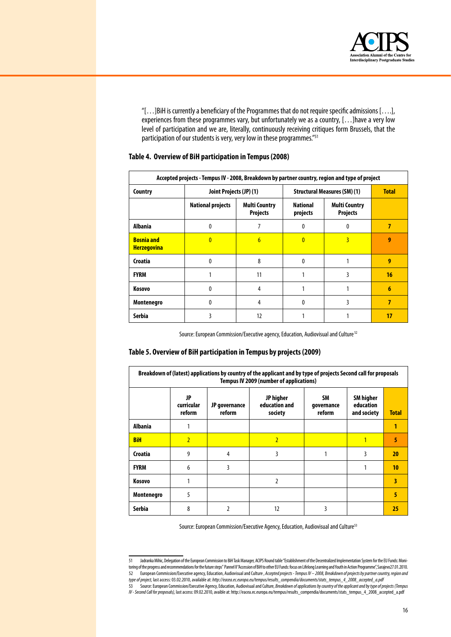

" $[...]$ BiH is currently a beneficiary of the Programmes that do not require specific admissions  $[...]$ , experiences from these programmes vary, but unfortunately we as a country,  $[...]$ have a very low level of participation and we are, literally, continuously receiving critiques form Brussels, that the participation of our students is very, very low in these programmes."<sup>51</sup>

| Accepted projects - Tempus IV - 2008, Breakdown by partner country, region and type of project |                          |                                         |                                     |                                         |                 |
|------------------------------------------------------------------------------------------------|--------------------------|-----------------------------------------|-------------------------------------|-----------------------------------------|-----------------|
| Country                                                                                        | Joint Projects (JP) (1)  |                                         | <b>Structural Measures (SM) (1)</b> | <b>Total</b>                            |                 |
|                                                                                                | <b>National projects</b> | <b>Multi Country</b><br><b>Projects</b> | <b>National</b><br>projects         | <b>Multi Country</b><br><b>Projects</b> |                 |
| <b>Albania</b>                                                                                 | n                        |                                         | 0                                   | 0                                       | 7               |
| <b>Bosnia and</b><br><b>Herzegovina</b>                                                        | $\mathbf{0}$             | $\overline{6}$                          | $\mathbf{0}$                        | 3                                       | 9               |
| Croatia                                                                                        | 0                        | 8                                       | $\mathbf{0}$                        |                                         | 9               |
| <b>FYRM</b>                                                                                    |                          | 11                                      |                                     | 3                                       | 16              |
| Kosovo                                                                                         | N                        | 4                                       |                                     |                                         | $6\phantom{1}6$ |
| Montenegro                                                                                     | 0                        | 4                                       | <sup>0</sup>                        | 3                                       | 7               |
| Serbia                                                                                         | 3                        | 12                                      |                                     |                                         | 17              |

### **Table 4. Overview of BiH participation in Tempus (2008)**

Source: European Commission/Executive agency, Education, Audiovisual and Culture<sup>52</sup>

#### **Table 5. Overview of BiH participation in Tempus by projects (2009)**

| Breakdown of (latest) applications by country of the applicant and by type of projects Second call for proposals<br><b>Tempus IV 2009 (number of applications)</b> |                            |                         |                                       |                                   |                                              |              |
|--------------------------------------------------------------------------------------------------------------------------------------------------------------------|----------------------------|-------------------------|---------------------------------------|-----------------------------------|----------------------------------------------|--------------|
|                                                                                                                                                                    | JP<br>curricular<br>reform | JP governance<br>reform | JP higher<br>education and<br>society | <b>SM</b><br>governance<br>reform | <b>SM</b> higher<br>education<br>and society | <b>Total</b> |
| <b>Albania</b>                                                                                                                                                     |                            |                         |                                       |                                   |                                              | 1            |
| <b>BiH</b>                                                                                                                                                         | $\overline{2}$             |                         | $\overline{2}$                        |                                   |                                              | 5            |
| Croatia                                                                                                                                                            | 9                          | 4                       | 3                                     |                                   | 3                                            | 20           |
| <b>FYRM</b>                                                                                                                                                        | 6                          | 3                       |                                       |                                   |                                              | 10           |
| Kosovo                                                                                                                                                             |                            |                         | 2                                     |                                   |                                              | 3            |
| Montenegro                                                                                                                                                         | 5                          |                         |                                       |                                   |                                              | 5            |
| Serbia                                                                                                                                                             | 8                          | 2                       | 12                                    | 3                                 |                                              | 25           |

Source: European Commission/Executive Agency, Education, Audiovisual and Culture<sup>53</sup>

<sup>51</sup> Jadranka Mihic, Delegation of the European Commission to BiH Task Manager, ACIPS Round table "Establishment of the Decentralized Implementation System for the EU Funds: Monitoring of the progress and recommendations for the future steps" Pannel II"Accession of BiH to other EU Funds: focus on Lifelong Learning and Youth in Action Programme", Sarajevo27.01.2010. 52 European Commission/Executiveagency,Education, AudiovisualandCulture, *Accepted projects - Tempus IV – 2008, Breakdown of projects by partner country, region and type of project,* lastaccess:03.02.2010,availableat:*http://eacea.ec.europa.eu/tempus/results\_compendia/documents/stats\_tempus\_4\_2008\_accepted\_a.pdf*

<sup>53</sup> Source: European Commission/Executive Agency, Education, Audiovisual and Culture, Breakdown of applications by country of the applicant and by type of projects (Tempus *IV - Second Call for proposals),* lastaccess:09.02.2010,avaibleat: http://eacea.ec.europa.eu/tempus/results\_compendia/documents/stats\_tempus\_4\_2008\_accepted\_a.pdf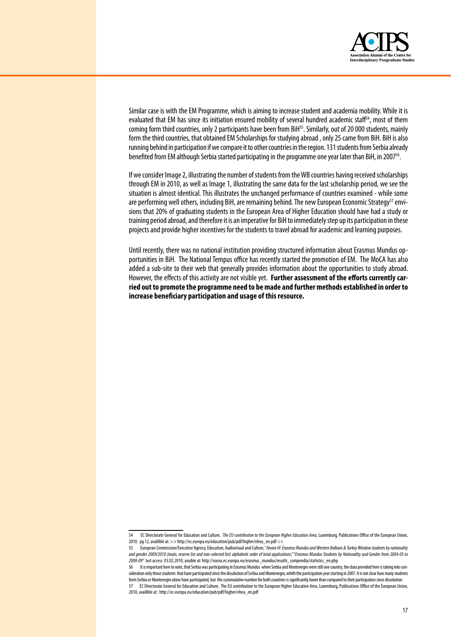

Similar case is with the EM Programme, which is aiming to increase student and academia mobility. While it is evaluated that EM has since its initiation ensured mobility of several hundred academic staff<sup>54</sup>, most of them coming form third countries, only 2 participants have been from BiH<sup>55</sup>. Similarly, out of 20 000 students, mainly form the third countries, that obtained EM Scholarships for studying abroad, only 25 came from BiH. BiH is also running behind in participation if we compare it to other countries in the region. 131 students from Serbia already benefited from EM although Serbia started participating in the programme one year later than BiH, in 2007<sup>56</sup>.

If we consider Image 2, illustrating the number of students from the WB countries having received scholarships through EM in 2010, as well as Image 1, illustrating the same data for the last scholarship period, we see the situation is almost identical. This illustrates the unchanged performance of countries examined - while some are performing well others, including BiH, are remaining behind. The new European Economic Strategy<sup>57</sup> envisions that 20% of graduating students in the European Area of Higher Education should have had a study or training period abroad, and therefore it is an imperative for BiH to immediately step up its participation in these projects and provide higher incentives for the students to travel abroad for academic and learning purposes.

Until recently, there was no national institution providing structured information about Erasmus Mundus opportunities in BiH. The National Tempus office has recently started the promotion of EM. The MoCA has also added a sub-site to their web that generally provides information about the opportunities to study abroad. However, the effectsof this activity are not visible yet. **Further assessment of the efforts currently carried out to promote the programme need to be made and further methods established in order to increase beneficiary participation and usage of this resource.**

<sup>54</sup> EC Directorate General for Education andCulture, *The EU contribution to the European Higher Education Area,* Luxemburg,Publications Office of the European Union, 2010. pg 12, availible at: >> http://ec.europa.eu/education/pub/pdf/higher/ehea\_en.pdf <<

European Commission/Executive Agency, Education, Audiovisual and Culture, "Annex IV: Erasmus Mundus and Western Balkans & Turkey Window students by nationality *and gender 2009/2010 (main, reserve list and non-selected list) alphabetic order of total applications*,""*Erasmus Mundus Students by Nationality and Gender from 2004-05 to 2008-09"* lastaccess:03.02.2010,avaibleat: http://eacea.ec.europa.eu/erasmus\_mundus/results\_compendia/statistics\_en.php

<sup>56</sup> It is important here to note, that Serbia was participating in Erasmus Mundus when Serbia and Montenegro were still one country, the data provided here is taking into consideration only those students that have participated since the dissolution of Serbia and Montenegro, whith the participation year starting in 2007. It is not clear how many students form Serbia or Montenegro alone have participated, but the cummulative number for both countries is significantly lower than compared to their participation since dissolution. 57 EC Directorate General for Education andCulture, TheEU contribution totheEuropean Higher Education Area, Luxemburg,Publications Officeof theEuropean Union, 2010, availible at: http://ec.europa.eu/education/pub/pdf/higher/ehea\_en.pdf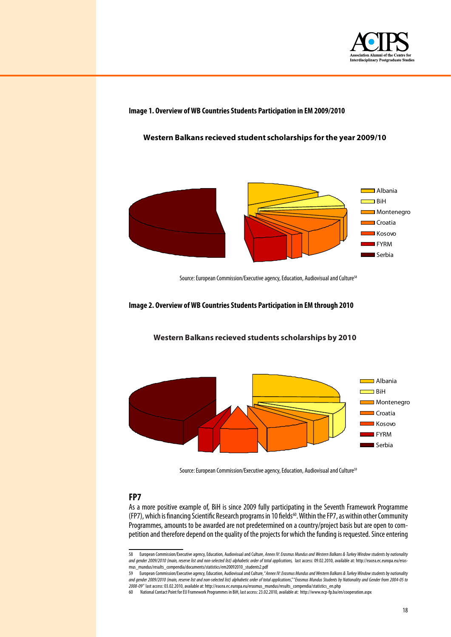

**Image 1. Overview of WB Countries Students Participation in EM 2009/2010**

**Western Balkans recieved student scholarships forthe year 2009/10**



Source: European Commission/Executive agency, Education, Audiovisual and Culture<sup>58</sup>

#### **Image 2. Overview of WB Countries Students Participation in EM through 2010**



**Western Balkans recieved students scholarships by 2010**

Source: European Commission/Executive agency, Education, Audiovisual and Culture<sup>59</sup>

# **FP7**

As a more positive example of, BiH is since 2009 fully participating in the Seventh Framework Programme (FP7), which is financing Scientific Research programs in 10 fields<sup>60</sup>. Within the FP7, as within other Community Programmes, amounts to be awarded are not predetermined on a country/project basis but are open to competition and therefore depend on the quality of the projects for which the funding is requested. Since entering

<sup>58</sup> European Commission/Executive agency, Education, Audiovisual and Culture, *Annex IV: Erasmus Mundus and Western Balkans & Turkey Window students by nationality* and gender 2009/2010 (main, reserve list and non-selected list) alphabetic order of total applications, last access: 09.02.2010, available at: http://eacea.ec.europa.eu/erasmus\_mundus/results\_compendia/documents/statistics/em20092010\_students2.pdf

<sup>59</sup> European Commission/Executiveagency,Education, AudiovisualandCulture,"*Annex IV: Erasmus Mundus and Western Balkans & Turkey Window students by nationality and gender 2009/2010 (main, reserve list and non-selected list) alphabetic order of total applications*,""*Erasmus Mundus Students by Nationality and Gender from 2004-05 to 2008-09"* lastaccess:03.02.2010,availableat: http://eacea.ec.europa.eu/erasmus\_mundus/results\_compendia/statistics\_en.php

<sup>60</sup> NationalContactPoint forEU FrameworkProgrammes in BiH, lastaccess:23.02.2010,availableat: http://www.ncp-fp.ba/en/cooperation.aspx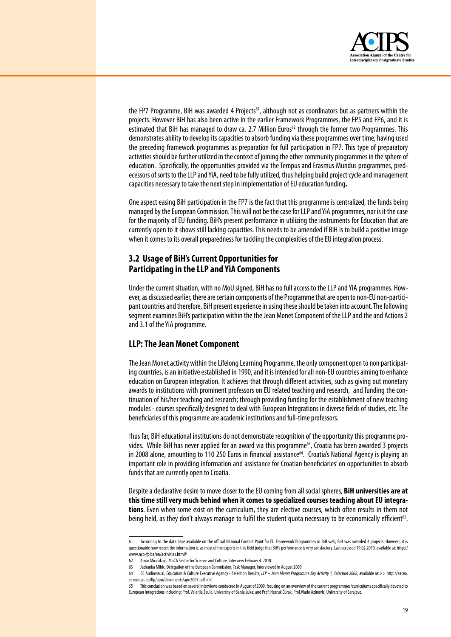

the FP7 Programme, BiH was awarded 4 Projects<sup>61</sup>, although not as coordinators but as partners within the projects. However BiH has also been active in the earlier Framework Programmes, the FP5 and FP6, and it is estimated that BiH has managed to draw ca. 2.7 Million Euros<sup>62</sup> through the former two Programmes. This demonstrates ability to develop its capacities to absorb funding via these programmes over time, having used the preceding framework programmes as preparation for full participation in FP7. This type of preparatory activities should be further utilized in the context of joining the other community programmes in the sphere of education. Specifically, the opportunities provided via the Tempus and Erasmus Mundus programmes, predecessors of sorts to the LLP and YiA, need to be fully utilized, thus helping build project cycle and management capacities necessary to take the next step in implementation of EU education funding.

One aspect easing BiH participation in the FP7 is the fact that this programme is centralized, the funds being managed by the European Commission. This will not be the case for LLP and YiA programmes, nor is it the case for the majority of EU funding. BiH's present performance in utilizing the instruments for Education that are currently open to it shows still lacking capacities. This needs to be amended if BiH is to build a positive image when it comes to its overall preparedness for tackling the complexities of the EU integration process.

# **3.2 Usage of BiH's Current Opportunities for Participating in the LLP and YiA Components**

Under the current situation, with no MoU signed, BiH has no full access to the LLP and YiA programmes. However, as discussed earlier, there are certain components of the Programme that are open to non-EU non-participant countries and therefore, BiH present experience in using these should be taken into account. The following segment examines BiH's participation within the the Jean Monet Component of the LLP and the and Actions 2 and 3.1 of the YiA programme.

# **LLP: The Jean Monet Component**

The Jean Monet activity within the Lifelong Learning Programme, the only component open to non participating countries, is an initiative established in 1990, and it is intended for all non-EU countries aiming to enhance education on European integration. It achieves that through different activities, such as giving out monetary awards to institutions with prominent professors on EU related teaching and research, and funding the continuation of his/her teaching and research; through providing funding for the establishment of new teaching modules - courses specifically designed to deal with European Integrations in diverse fields of studies, etc. The beneficiaries of this programme are academic institutions and full-time professors.

Thus far, BiH educational institutions do not demonstrate recognition of the opportunity this programme provides. While BiH has never applied for an award via this programme<sup>63</sup>, Croatia has been awarded 3 projects in 2008 alone, amounting to 110 250 Euros in financial assistance<sup>64</sup>. Croatia's National Agency is playing an important role in providing information and assistance for Croatian beneficiaries'on opportunities to absorb funds that are currently open to Croatia.

Despite a declarative desire to move closer to the EU coming from all social spheres, **BiH universities are at this time still very much behind when it comes to specialized courses teaching about EU integrations**. Even when some exist on the curriculum, they are elective courses, which often results in them not being held, as they don't always manage to fulfil the student quota necessary to be economically efficient<sup>65</sup>.

<sup>61</sup> According to the data base available on the official National Contact Point for EU Framework Programmes in BiH web, BiH was awarded 4 projects. However, it is questionable how recent the information is, as most of the experts in this field judge that BiH's performance is very satisfactory. Last accessed 19.02.2010, available at: http:// www.ncp-fp.ba/en/activities.html#

<sup>62</sup> Amar Mirašdžija, MoCA Sector forScienceandCulture, Interview Febuary4.2010.

<sup>63</sup> Jadranka Mihic, Delegation of the European Commission, Task Manager, Interviewed in August 2009

<sup>64</sup> EC Audiovisual, Education & Culture Executive Agency - Selection Results, *LLP – Jean Monet Programme Key Activity 1, Selection 2008,* available at:>> http://eacea. ec.europa.eu/llp/ajm/documents/ajm2007.pdf <<

<sup>65</sup> This conclusion was based on several interviews conducted in August of 2009, focusing on an overview of the current programmes/curriculums specifically devoted to European Integrations including:Prof. ValerijaŠaula, Universityof BanjaLuka;andProf. NezrukĆurak,Prof.Vlado Azinović, UniversityofSarajevo.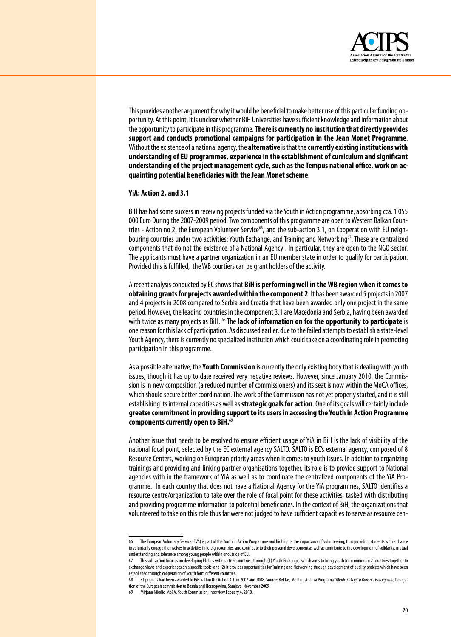

This provides another argument for why it would be beneficial to make better use of this particular funding opportunity. At this point, it is unclear whether BiH Universities have sufficient knowledge and information about the opportunity to participate in this programme. There is currently no institution that directly provides support and conducts promotional campaigns for participation in the Jean Monet Programme. Without the existence of a national agency, the alternative is that the currently existing institutions with understanding of EU programmes, experience in the establishment of curriculum and significant understanding of the project management cycle, such as the Tempus national office, work on acquainting potential beneficiaries with the Jean Monet scheme.

#### YiA: Action 2. and 3.1

BiH has had some success in receiving projects funded via the Youth in Action programme, absorbing cca. 1055 000 Euro During the 2007-2009 period. Two components of this programme are open to Western Balkan Countries - Action no 2, the European Volunteer Service<sup>66</sup>, and the sub-action 3.1, on Cooperation with EU neighbouring countries under two activities: Youth Exchange, and Training and Networking<sup>67</sup>. These are centralized components that do not the existence of a National Agency. In particular, they are open to the NGO sector. The applicants must have a partner organization in an EU member state in order to qualify for participation. Provided this is fulfilled, the WB courtiers can be grant holders of the activity.

A recent analysis conducted by EC shows that BiH is performing well in the WB region when it comes to obtaining grants for projects awarded within the component 2. It has been awarded 5 projects in 2007 and 4 projects in 2008 compared to Serbia and Croatia that have been awarded only one project in the same period. However, the leading countries in the component 3.1 are Macedonia and Serbia, having been awarded with twice as many projects as BiH. <sup>68</sup> The **lack of information on for the opportunity to participate** is one reason for this lack of participation. As discussed earlier, due to the failed attempts to establish a state-level Youth Agency, there is currently no specialized institution which could take on a coordinating role in promoting participation in this programme.

As a possible alternative, the Youth Commission is currently the only existing body that is dealing with youth issues, though it has up to date received very negative reviews. However, since January 2010, the Commission is in new composition (a reduced number of commissioners) and its seat is now within the MoCA offices. which should secure better coordination. The work of the Commission has not yet properly started, and it is still establishing its internal capacities as well as **strategic goals for action**. One of its goals will certainly include greater commitment in providing support to its users in accessing the Youth in Action Programme components currently open to BiH.<sup>69</sup>

Another issue that needs to be resolved to ensure efficient usage of YiA in BiH is the lack of visibility of the national focal point, selected by the EC external agency SALTO. SALTO is EC's external agency, composed of 8 Resource Centers, working on European priority areas when it comes to youth issues. In addition to organizing trainings and providing and linking partner organisations together, its role is to provide support to National agencies with in the framework of YiA as well as to coordinate the centralized components of the YiA Programme. In each country that does not have a National Agency for the YiA programmes, SALTO identifies a resource centre/organization to take over the role of focal point for these activities, tasked with distributing and providing programme information to potential beneficiaries. In the context of BiH, the organizations that volunteered to take on this role thus far were not judged to have sufficient capacities to serve as resource cen-

The European Voluntary Service (EVS) is part of the Youth in Action Programme and highlights the importance of volunteering, thus providing students with a chance 66 to voluntarily engage themselves in activities in foreign countries, and contribute to their personal development as well as contribute to the development of solidarity, mutual understanding and tolerance among young people within or outside of EU.

This sub-action focuses on developing EU ties with partner countries, through (1) Youth Exchange, which aims to bring youth from minimum 2 countries together to exchange views and experiences on a specific topic, and (2) it provides opportunities for Training and Networking through development of quality projects which have been established through cooperation of youth form different countries.

tion of the European commission to Bosnia and Herzegovina. Sarajevo, Novembar 2009

Mirjana Nikolic, MoCA, Youth Commission, Interview Febuary 4. 2010.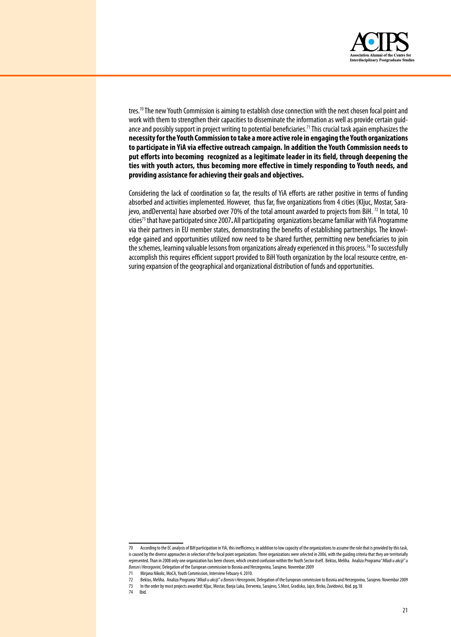

tres.<sup>70</sup> The new Youth Commission is aiming to establish close connection with the next chosen focal point and work with them to strengthen their capacities to disseminate the information as well as provide certain guidance and possibly support in project writing to potential beneficiaries.<sup>71</sup> This crucial task again emphasizes the necessity for the Youth Commission to take a more active role in engaging the Youth organizations to participate in YiA via effective outreach campaign. In addition the Youth Commission needs to put efforts into becoming recognized as a legitimate leader in its field, through deepening the ties with youth actors, thus becoming more effective in timely responding to Youth needs, and providing assistance for achieving their goals and objectives.

Considering the lack of coordination so far, the results of YiA efforts are rather positive in terms of funding absorbed and activities implemented. However, thus far, five organizations from 4 cities (Kljuc, Mostar, Sarajevo, andDerventa) have absorbed over 70% of the total amount awarded to projects from BiH. <sup>72</sup> In total, 10 cities<sup>73</sup> that have participated since 2007. All participating organizations became familiar with YiA Programme via their partners in EU member states, demonstrating the benefits of establishing partnerships. The knowledge gained and opportunities utilized now need to be shared further, permitting new beneficiaries to join the schemes, learning valuable lessons from organizations already experienced in this process.<sup>74</sup> To successfully accomplish this requires efficient support provided to BiH Youth organization by the local resource centre, ensuring expansion of the geographical and organizational distribution of funds and opportunities.

74 Ibid.

According to the EC analysis of BiH participation in YiA, this inefficiency, in addition to low capacity of the organizations to assume the role that is provided by this task,  $70$ is caused by the diverse approaches in selection of the focal point organizations. Three organizations were selected in 2006, with the guiding criteria that they are territorially represented. Than in 2008 only one organization has been chosen, which created confusion within the Youth Sector itself. Bektas, Meliha. Analiza Programa "Mladi u akciji" u Bonsni i Hercegovini, Delegation of the European commission to Bosnia and Herzegovina, Sarajevo. Novembar 2009

 $71$ Mirjana Nikolic, MoCA, Youth Commission, Interview Febuary 4. 2010.

Bektas, Meliha. Analiza Programa "Mladiu akciji" u Bonsni i Hercegovini, Delegation of the European commission to Bosnia and Herzegovina, Sarajevo. Novembar 2009  $72$ 

In the order by most projects awarded: Kljuc, Mostar, Banja Luka, Derventa, Sarajevo, S.Most, Gradiska, Jajce, Brcko, Zavidovici, Ibid. pg.18  $73$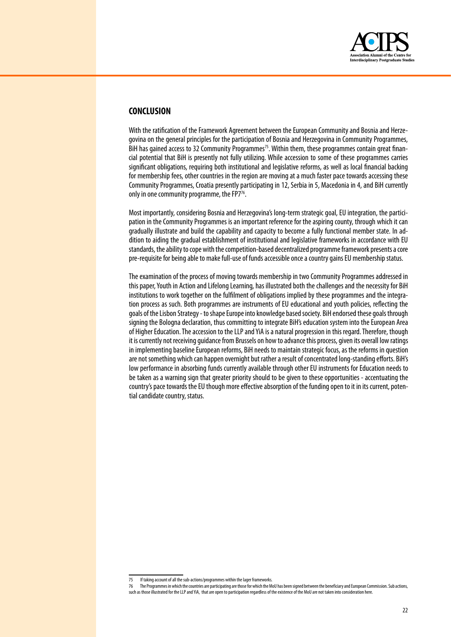

# **CONCLUSION**

With the ratification of the Framework Agreement between the European Community and Bosnia and Herzegovina on the general principles for the participation of Bosnia and Herzegovina in Community Programmes, BiH has gained access to 32 Community Programmes<sup>75</sup>. Within them, these programmes contain great financial potential that BiH is presently not fully utilizing. While accession to some of these programmes carries significant obligations, requiring both institutional and legislative reforms, as well as local financial backing for membership fees, other countries in the region are moving at a much faster pace towards accessing these Community Programmes, Croatia presently participating in 12, Serbia in 5, Macedonia in 4, and BiH currently only in one community programme, the FP $7^{76}$ .

Most importantly, considering Bosnia and Herzegovina's long-term strategic goal, EU integration, the participation in the Community Programmes is an important reference for the aspiring county, through which it can gradually illustrate and build the capability and capacity to become a fully functional member state. In addition to aiding the gradual establishment of institutional and legislative frameworks in accordance with EU standards, the ability to cope with the competition-based decentralized programme framework presents a core pre-requisite for being able to make full-use of funds accessible once a country gains EU membership status.

The examination of the process of moving towards membership in two Community Programmes addressed in this paper, Youth in Action and Lifelong Learning, has illustrated both the challenges and the necessity for BiH institutions to work together on the fulfilment of obligations implied by these programmes and the integration process as such. Both programmes are instruments of EU educational and youth policies, reflecting the goals of the Lisbon Strategy - to shape Europe into knowledge based society. BiH endorsed these goals through signing the Bologna declaration, thus committing to integrate BiH's education system into the European Area of Higher Education. The accession to the LLP and YiA is a natural progression in this regard. Therefore, though it is currently not receiving quidance from Brussels on how to advance this process, given its overall low ratings in implementing baseline European reforms, BiH needs to maintain strategic focus, as the reforms in question are not something which can happen overnight but rather a result of concentrated long-standing efforts. BiH's low performance in absorbing funds currently available through other EU instruments for Education needs to be taken as a warning sign that greater priority should to be given to these opportunities - accentuating the country's pace towards the EU though more effective absorption of the funding open to it in its current, potential candidate country, status.

<sup>75</sup> If taking account of all the sub-actions/programmes within the lager frameworks.

<sup>76</sup> The Programmes in which the countries are participating are those for which the MoU has been signed between the beneficiary and European Commission. Sub actions such as those illustrated for the LLP and YiA, that are open to participation regardless of the existence of the MoU are not taken into consideration here.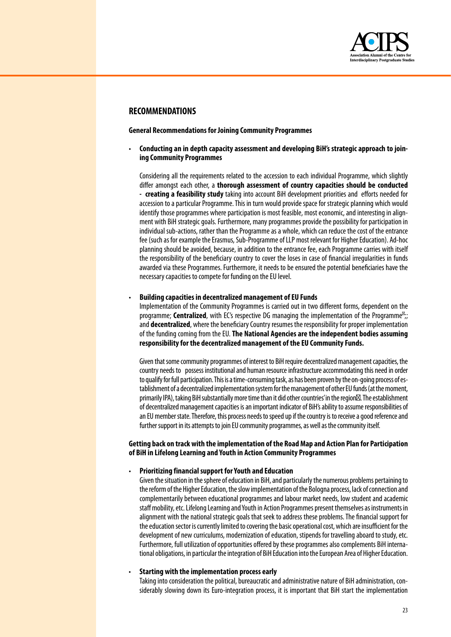

# **RECOMMENDATIONS**

**General Recommendations for Joining Community Programmes**

• **Conducting an in depth capacity assessment and developing BiH's strategic approach to joining Community Programmes** 

Considering all the requirements related to the accession to each individual Programme, which slightly differ amongst each other, a **thorough assessment of country capacities should be conducted - creating a feasibility study** taking into account BiH development priorities and efforts needed for accession to a particular Programme. This in turn would provide space for strategic planning which would identify those programmes where participation is most feasible, most economic, and interesting in alignment with BiH strategic goals. Furthermore, many programmes provide the possibility for participation in individual sub-actions, rather than the Programme as a whole, which can reduce the cost of the entrance fee (such as for example the Erasmus, Sub-Programme of LLP most relevant for Higher Education). Ad-hoc planning should be avoided, because, in addition to the entrance fee, each Programme carries with itself the responsibility of the beneficiary country to cover the loses in case of financial irregularities in funds awarded via these Programmes. Furthermore, it needs to be ensured the potential beneficiaries have the necessary capacities to compete for funding on the EU level.

#### • **Building capacities in decentralized management of EU Funds**

Implementation of the Community Programmes is carried out in two different forms, dependent on the programme; **Centralized**, with EC's respective DG managing the implementation of the Programme ;; and **decentralized**, where the beneficiary Country resumes the responsibility for proper implementation of the funding coming from the EU. The National Agencies are the independent bodies assuming **responsibility for the decentralized management of the EU Community Funds.**

Given that some community programmes of interest to BiH require decentralized management capacities, the country needs to possess institutional and human resource infrastructure accommodating this need in order to qualify for full participation. This is a time-consuming task, as has been proven by the on-going process of establishment of a decentralized implementation system for the management of other EU funds (at the moment, primarily IPA), taking BiH substantially more time than it did other countries' in the region . The establishment of decentralized management capacities is an important indicator of BiH's ability to assume responsibilities of an EU member state. Therefore, this process needs to speed up if the country is to receive a good reference and further support in its attempts to join EU community programmes, as well as the community itself.

#### **Getting back on track with the implementation of the Road Map and Action Plan for Participation of BiH in Lifelong Learning and Youth in Action Community Programmes**

#### • **Prioritizing financial support for Youth and Education**

Given the situation in the sphere of education in BiH, and particularly the numerous problems pertaining to the reform of the Higher Education, the slow implementation of the Bologna process, lack of connection and complementarily between educational programmes and labour market needs, low student and academic staff mobility, etc. Lifelong Learning and Youth in Action Programmes present themselves as instruments in alignment with the national strategic goals that seek to address these problems. The financial support for the education sector is currently limited to covering the basic operational cost, which are insufficient for the development of new curriculums, modernization of education, stipends for travelling aboard to study, etc. Furthermore, full utilization of opportunities offered by these programmes also complements BiH international obligations, in particular the integration of BiH Education into the European Area of Higher Education.

#### • **Starting with the implementation process early**

Taking into consideration the political, bureaucratic and administrative nature of BiH administration, considerably slowing down its Euro-integration process, it is important that BiH start the implementation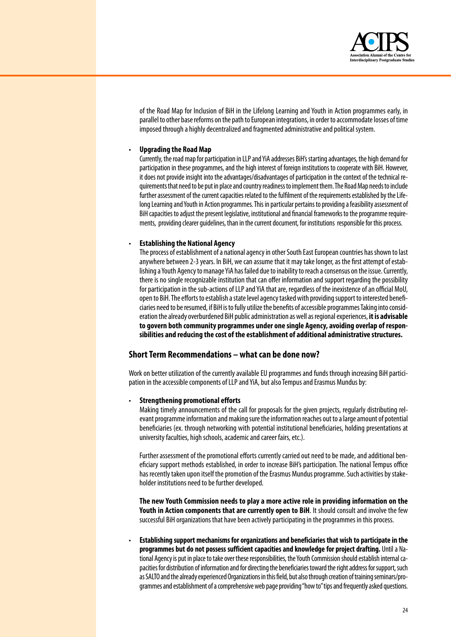

of the Road Map for Inclusion of BiH in the Lifelong Learning and Youth in Action programmes early, in parallel to other base reforms on the path to European integrations, in order to accommodate losses of time imposed through a highly decentralized and fragmented administrative and political system.

#### • **Upgrading the Road Map**

Currently, the road map for participation in LLP and YiA addresses BiH's starting advantages, the high demand for participation in these programmes, and the high interest of foreign institutions to cooperate with BiH. However, it does not provide insight into the advantages/disadvantages of participation in the context of the technical requirements that need to be put in place and country readiness to implement them. The Road Map needs to include further assessment of the current capacities related to the fulfilment of the requirements established by the Lifelong Learning and Youth in Action programmes. This in particular pertains to providing a feasibility assessment of BiH capacities to adjust the present legislative, institutional and financial frameworks to the programme requirements, providing clearer quidelines, than in the current document, for institutions responsible for this process.

#### • **Establishing the National Agency**

The process of establishment of a national agency in other South East European countries has shown to last anywhere between 2-3 years. In BiH, we can assume that it may take longer, as the first attempt of establishing a Youth Agency to manage YiA has failed due to inability to reach a consensus on the issue. Currently, there is no single recognizable institution that can offer information and support regarding the possibility for participation in the sub-actions of LLP and YiA that are, regardless of the inexistence of an official MoU, open to BiH. The efforts to establish a state level agency tasked with providing support to interested beneficiaries need to be resumed, if BiH is to fully utilize the benefits of accessible programmes Taking into consideration thealreadyoverburdened BiH publicadministration aswellasregionalexperiences, **it is advisable to govern both community programmes under one single Agency, avoiding overlap of responsibilities and reducing the cost of the establishment of additional administrative structures.**

### **Short Term Recommendations – what can be done now?**

Work on better utilization of the currently available EU programmes and funds through increasing BiH participation in the accessible components of LLP and YiA, but also Tempus and Erasmus Mundus by:

#### • **Strengthening promotional efforts**

Making timely announcements of the call for proposals for the given projects, regularly distributing relevant programme information and making sure the information reaches out to a large amount of potential beneficiaries (ex. through networking with potential institutional beneficiaries, holding presentations at university faculties, high schools, academic and career fairs, etc.).

Further assessment of the promotional efforts currently carried out need to be made, and additional beneficiary support methods established, in order to increase BiH's participation. The national Tempus office has recently taken upon itself the promotion of the Erasmus Mundus programme. Such activities by stakeholder institutions need to be further developed.

**The new Youth Commission needs to play a more active role in providing information on the Youth in Action components that are currently open to BiH.** It should consult and involve the few successful BiH organizations that have been actively participating in the programmes in this process.

• **Establishing support mechanisms for organizations and beneficiaries that wish to participate in the programmes but do not possess sufficient capacities and knowledge for project drafting.** Until a National Agency is put in place to take over these responsibilities, the Youth Commission should establish internal capacities for distribution of information and for directing the beneficiaries toward the right address for support, such as SALTO and the already experienced Organizations in this field, but also through creation of training seminars/programmes and establishment of a comprehensive web page providing "how to" tips and frequently asked questions.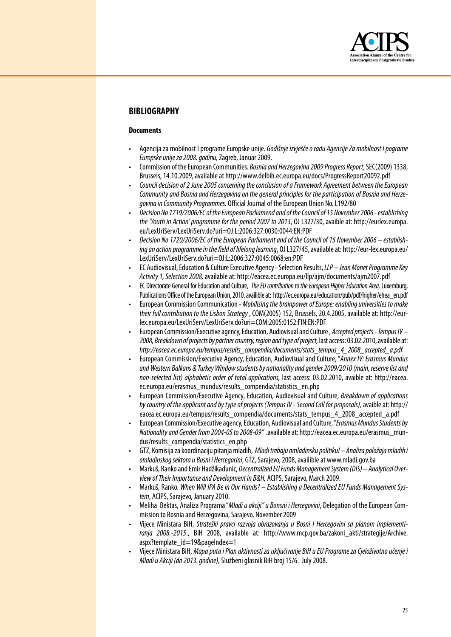

# **BIBLIOGRAPHY**

#### **Documents**

- Agencija za mobilnost I programe Europske unije. *Godišnje izvješče o radu Agencije Za mobilnost I pograme Europske unije za 2008. godinu,*Zagreb, Januar2009.
- Commission of the European Communities. Bosnia and Herzegovina 2009 Progress Report, SEC(2009) 1338, Brussels,14.10.2009,availableat http://www.delbih.ec.europa.eu/docs/ProgressReport20092.pdf
- *Council decision of 2 June 2005 concerning the conclusion of a Framework Agreement between the European Community and Bosnia and Herzegovina on the general principles for the participation of Bosnia and Herze*aovina in Community Programmes. Official Journal of the European Union No. L192/80
- *Decision No 1719/2006/EC of the European Parliamend and of the Council of 15 November 2006 establishing the 'Youth in Action' programme for the period 2007 to 2013*, OJ L327/30, avaible at: http://eurlex.europa. eu/LexUriServ/LexUriServ.do?uri=OJ:L:2006:327:0030:0044:EN:PDF
- *Decision No 1720/2006/EC of the European Parliament and of the Council of 15 November 2006 establish*ing an action programme in the field of lifelong learning, OJ L327/45, available at: http://eur-lex.europa.eu/ LexUriServ/LexUriServ.do?uri=OJ:L:2006:327:0045:0068:en:PDF
- EC Audiovisual,Education & CultureExecutive Agency-Selection Results,*LLP Jean Monet Programme Key Activity 1, Selection 2008,*availableat: http://eacea.ec.europa.eu/llp/ajm/documents/ajm2007.pdf
- EC Directorate General forEducation andCulture, *The EU contribution to the European Higher Education Area,* Luxemburg, Publications Office of the European Union, 2010, availible at: http://ec.europa.eu/education/pub/pdf/higher/ehea\_en.pdf
- European Commission Communication *Mobilising the brainpower of Europe: enabling universities to make their full contribution to the Lisbon Strategy* ,COM(2005)152, Brussels,20.4.2005,availableat: http://eurlex.europa.eu/LexUriServ/LexUriServ.do?uri=COM:2005:0152:FIN:EN:PDF
- European Commission/Executiveagency,Education, AudiovisualandCulture, *Accepted projects Tempus IV*  2008, Breakdown of projects by partner country, region and type of project, last access: 03.02.2010, available at: *http://eacea.ec.europa.eu/tempus/results\_compendia/documents/stats\_tempus\_4\_2008\_accepted\_a.pdf*
- European Commission/Executive Agency, Education, Audiovisual andCulture,"*Annex IV: Erasmus Mundus and Western Balkans & Turkey Window students by nationality and gender 2009/2010 (main, reserve list and non-selected list) alphabetic order of total applications,* last access: 03.02.2010, avaible at: http://eacea. ec.europa.eu/erasmus\_mundus/results\_compendia/statistics\_en.php
- European Commission/Executive Agency, Education, Audiovisual and Culture, *Breakdown of applications by country of the applicant and by type of projects (Tempus IV - Second Call for proposals),*avaibleat: http:// eacea.ec.europa.eu/tempus/results\_compendia/documents/stats\_tempus\_4\_2008\_accepted\_a.pdf
- European Commission/Executiveagency,Education, AudiovisualandCulture,"*Erasmus Mundus Students by Nationalityand Gender from 2004-05 to 2008-09"* .availableat: http://eacea.ec.europa.eu/erasmus\_mundus/results\_compendia/statistics\_en.php
- GTZ, Komisijazakoordinacijupitanjamladih, *Mladi trebaju omladinsku politiku! Analiza položaja mladih i omladinskog sektora u Bosni i Hercegorini*, GTZ,Sarajevo,2008,availibleat www.mladi.gov.ba
- Markuš, RankoandEmir Hadžikadunic, *Decentralized EU Funds Management System (DIS) Analytical Overview of Their Importance and Development in B&H,* ACIPS,Sarajevo, March 2009.
- Markuš, Ranko. *When Will IPA Be in Our Hands? Establishing a Decentralized EU Funds Management Sys*tem, ACIPS, Sarajevo, January 2010.
- Meliha Bektas, Analiza Programa "Mladi u akciji" u Bonsni i Hercegovini, Delegation of the European Commission to Bosnia and Herzegovina, Sarajevo, November 2009
- Vijece Ministara BiH, *Strateški pravci razvoja obrazovanja u Bosni I Hercegovini sa planom implementiranja 2008.-2015*., BiH 2008, available at: http://www.mcp.gov.ba/zakoni\_akti/strategije/Archive. aspx?template\_id=19&pageIndex=1
- Vijece Ministara BiH, *Mapa puta i Plan aktivnosti za uključivanje BiH u EU Programe za Cjeloživotno učenje i Mladi u Akciji (do 2013. godine),*Službeniglasnik BiH broj15/6. July2008.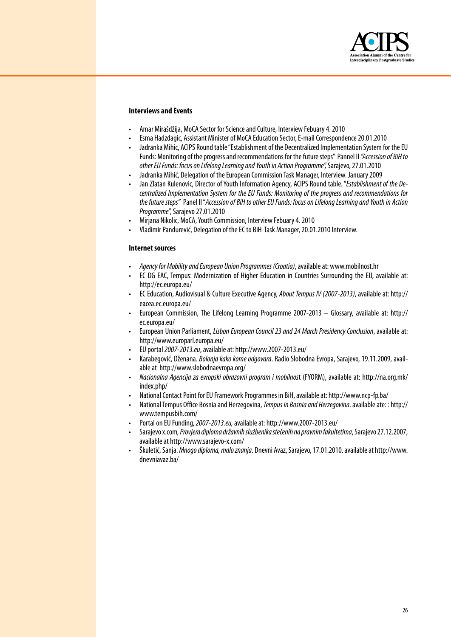

#### **Interviews and Events**

- Amar Mirašdžija, MoCA Sector forScienceandCulture, Interview Febuary4.2010
- Esma Hadzdagic, Assistant Ministerof MoCA Education Sector,E-mailCorrespondence20.01.2010
- Jadranka Mihic, ACIPS Round table "Establishment of the Decentralized Implementation System for the EU Funds: Monitoring of the progress and recommendations for the future steps" Pannel II "Accession of BiH to *other EU Funds: focus on Lifelong Learning and Youth in Action Programme",* Sarajevo,27.01.2010
- Jadranka Mihić, Delegation of theEuropean Commission Task Manager, Interview. January2009
- Jan Zlatan Kulenovic, Director ofYouth Information Agency, ACIPS Roundtable."*Establishment of the Decentralized Implementation System for the EU Funds: Monitoring of the progress and recommendations for the future steps"* Panel II"*Accession of BiH to other EU Funds: focus on Lifelong Learning and Youth in Action Programme*",Sarajevo27.01.2010
- Mirjana Nikolic, MoCA,Youth Commission, Interview Febuary4.2010
- Vladimir Pandurević, Delegation of the EC to BiH Task Manager, 20.01.2010 Interview.

#### **Internet sources**

- *Agency for Mobility and European Union Programmes (Croatia)*,availableat: www.mobilnost.hr
- EC DG EAC, Tempus: Modernization of Higher Education in Countries Surrounding the EU, available at: http://ec.europa.eu/
- ECEducation, Audiovisual & Culture Executive Agency, *About Tempus IV (2007-2013)*, available at: http:// eacea.ec.europa.eu/
- European Commission, The Lifelong Learning Programme 2007-2013 Glossary, available at: http:// ec.europa.eu/
- European Union Parliament, *Lisbon European Council 23 and 24 March Presidency Conclusion*, available at: http://www.europarl.europa.eu/
- EU portal*2007-2013.eu*,availableat: http://www.2007-2013.eu/
- Karabegović, Dženana. *Bolonja kako kome odgovara*. Radio Slobodna Evropa, Sarajevo, 19.11.2009, availableat http://www.slobodnaevropa.org/
- *Nacionalna Agencija za evropski obrazovni program i mobilnos*t (FYORM), available at: http://na.org.mk/ index.php/
- National Contact Point for EU Framework Programmes in BiH, available at: http://www.ncp-fp.ba/
- NationalTempus Office Bosniaand Herzegovina,*Tempus in Bosnia and Herzegovina*.availableate: : http:// www.tempusbih.com/
- Portalon EU Funding,*2007-2013.eu,* availableat: http://www.2007-2013.eu/
- Sarajevox.com*, Provjera diploma državnih službenika stečenih na pravnim fakultetima*,Sarajevo27.12.2007, available at http://www.sarajevo-x.com/
- Škuletić,Sanja.*Mnogo diploma, malo znanja*. Dnevni Avaz,Sarajevo,17.01.2010.availableat http://www. dnevniavaz.ba/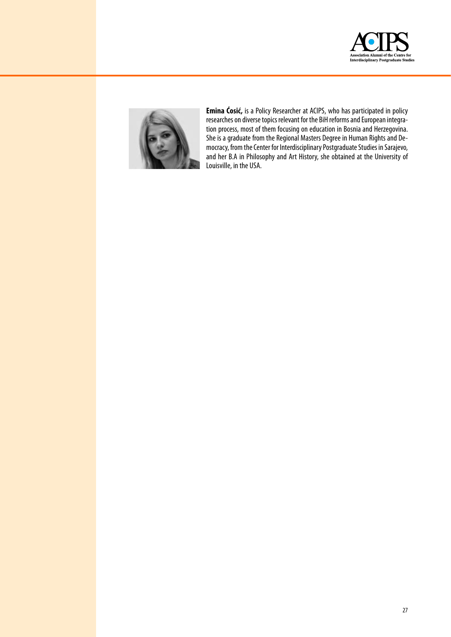



**Emina Ćosić,** is a Policy Researcher at ACIPS, who has participated in policy researches on diverse topics relevant for the BiH reforms and European integration process, most of them focusing on education in Bosnia and Herzegovina. She is a graduate from the Regional Masters Degree in Human Rights and Democracy, from the Center for Interdisciplinary Postgraduate Studies in Sarajevo, and her B.A in Philosophy and Art History, she obtained at the University of Louisville, in the USA.